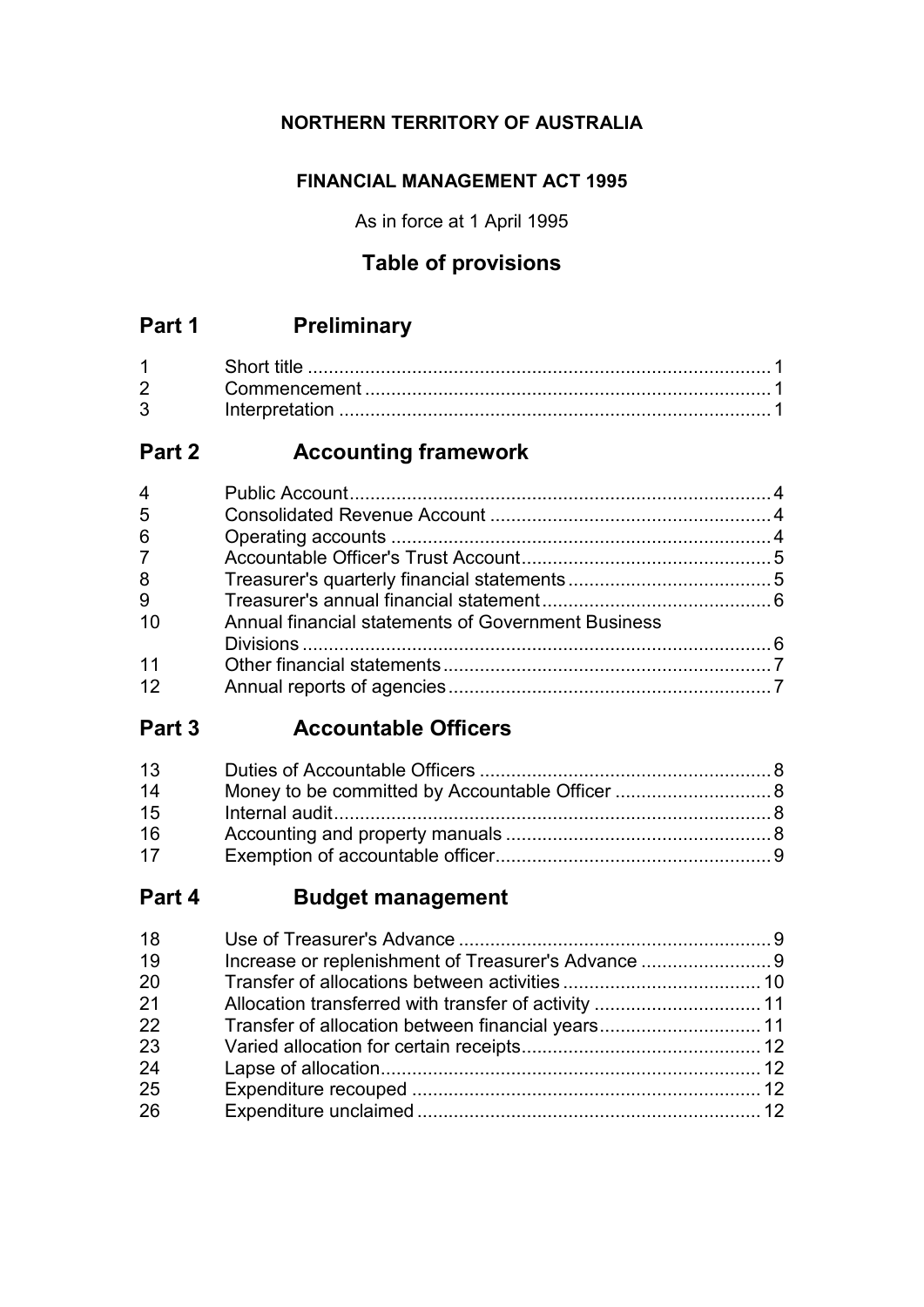## **NORTHERN TERRITORY OF AUSTRALIA**

## **FINANCIAL MANAGEMENT ACT 1995**

As in force at 1 April 1995

# **Table of provisions**

# **Part 1 Preliminary**

| $2^{\sim}$ |  |
|------------|--|
| 3          |  |

# **Part 2 Accounting framework**

| $\overline{4}$ |                                                    |  |
|----------------|----------------------------------------------------|--|
| 5              |                                                    |  |
| 6              |                                                    |  |
| 7 <sup>7</sup> |                                                    |  |
| 8              |                                                    |  |
| 9              |                                                    |  |
| 10             | Annual financial statements of Government Business |  |
|                |                                                    |  |
| 11             |                                                    |  |
| 12             |                                                    |  |
|                |                                                    |  |

# **Part 3 Accountable Officers**

| 13 |  |
|----|--|
| 14 |  |
| 15 |  |
| 16 |  |
| 17 |  |

# **Part 4 Budget management**

| 18 |                                                   |  |
|----|---------------------------------------------------|--|
| 19 |                                                   |  |
| 20 |                                                   |  |
| 21 |                                                   |  |
| 22 | Transfer of allocation between financial years 11 |  |
| 23 |                                                   |  |
| 24 |                                                   |  |
| 25 |                                                   |  |
| 26 |                                                   |  |
|    |                                                   |  |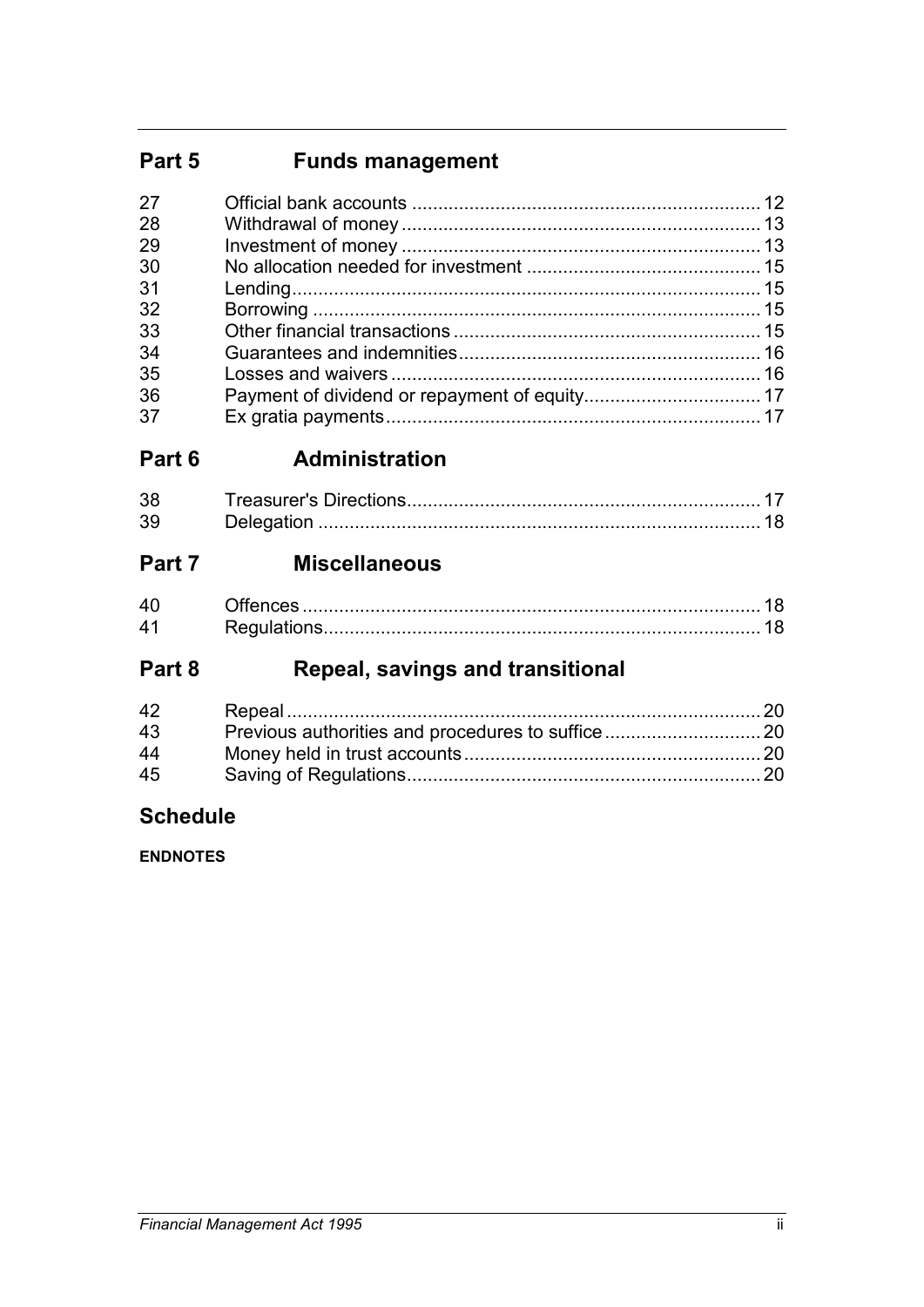# **Part 5 Funds management**

| 27 |  |
|----|--|
| 28 |  |
| 29 |  |
| 30 |  |
| 31 |  |
| 32 |  |
| 33 |  |
| 34 |  |
| 35 |  |
| 36 |  |
| 37 |  |

# **Part 6 Administration**

| 38. |  |
|-----|--|
| 39  |  |

# **Part 7 Miscellaneous**

| , <del>c</del> > ……………………………………………………………………………………… IO |  |
|-------------------------------------------------------|--|
|                                                       |  |

# **Part 8 Repeal, savings and transitional**

| 42 |  |
|----|--|
| 43 |  |
| 44 |  |
| 45 |  |

# **Schedule**

**ENDNOTES**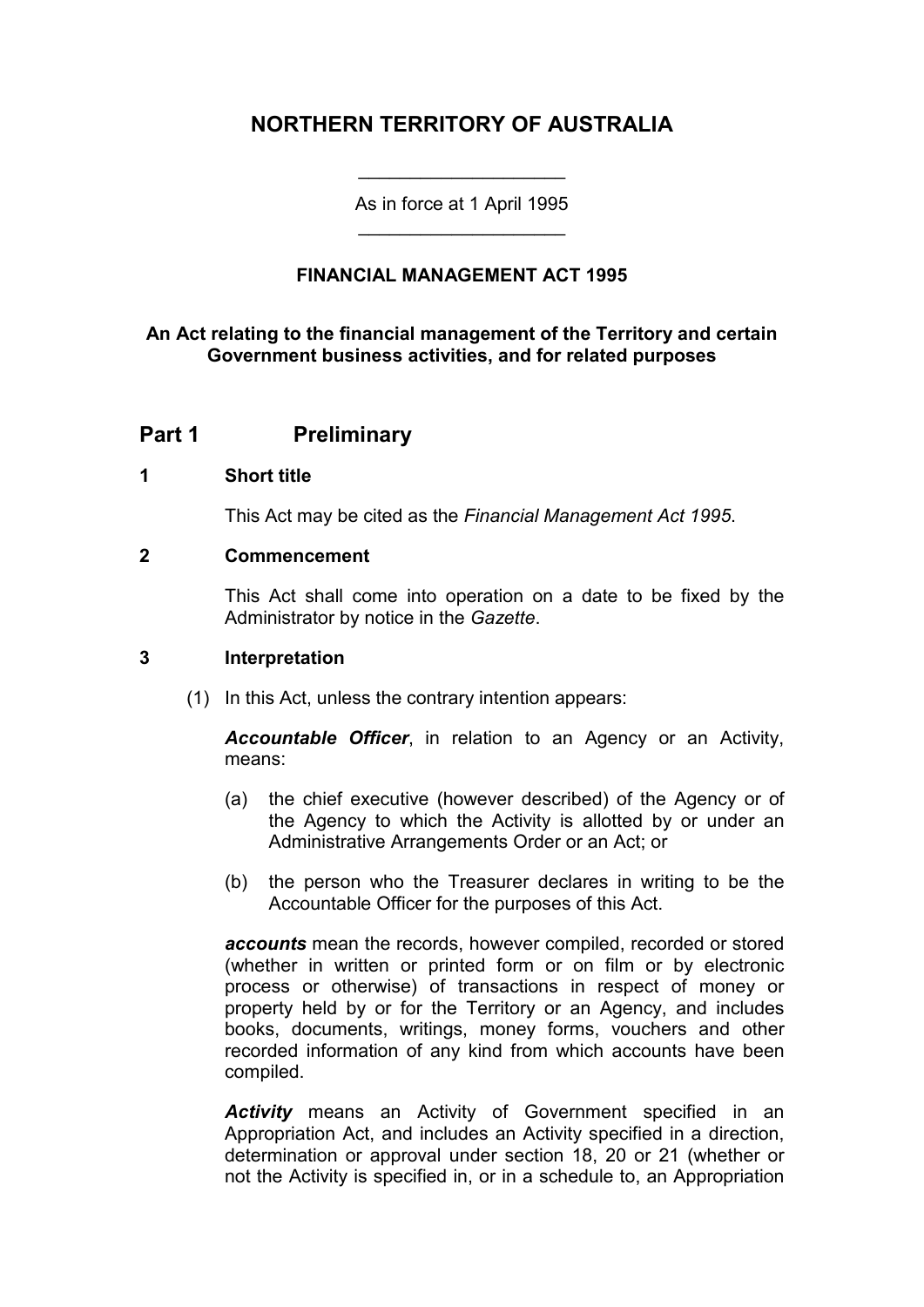## **NORTHERN TERRITORY OF AUSTRALIA**

As in force at 1 April 1995 \_\_\_\_\_\_\_\_\_\_\_\_\_\_\_\_\_\_\_\_

\_\_\_\_\_\_\_\_\_\_\_\_\_\_\_\_\_\_\_\_

## **FINANCIAL MANAGEMENT ACT 1995**

### **An Act relating to the financial management of the Territory and certain Government business activities, and for related purposes**

## **Part 1 Preliminary**

### **1 Short title**

This Act may be cited as the *Financial Management Act 1995*.

#### **2 Commencement**

This Act shall come into operation on a date to be fixed by the Administrator by notice in the *Gazette*.

#### **3 Interpretation**

(1) In this Act, unless the contrary intention appears:

*Accountable Officer*, in relation to an Agency or an Activity, means:

- (a) the chief executive (however described) of the Agency or of the Agency to which the Activity is allotted by or under an Administrative Arrangements Order or an Act; or
- (b) the person who the Treasurer declares in writing to be the Accountable Officer for the purposes of this Act.

*accounts* mean the records, however compiled, recorded or stored (whether in written or printed form or on film or by electronic process or otherwise) of transactions in respect of money or property held by or for the Territory or an Agency, and includes books, documents, writings, money forms, vouchers and other recorded information of any kind from which accounts have been compiled.

*Activity* means an Activity of Government specified in an Appropriation Act, and includes an Activity specified in a direction, determination or approval under section 18, 20 or 21 (whether or not the Activity is specified in, or in a schedule to, an Appropriation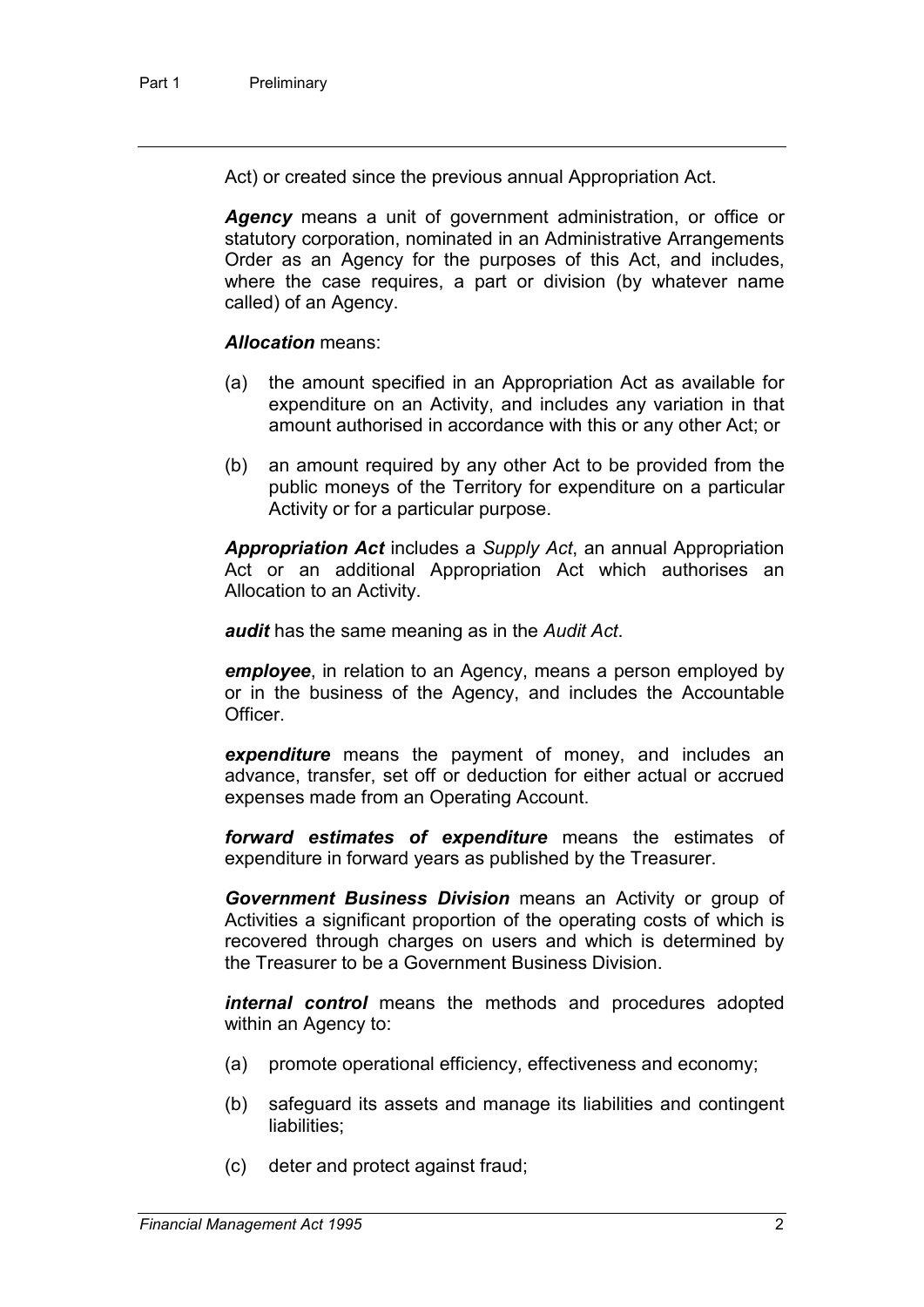Act) or created since the previous annual Appropriation Act.

*Agency* means a unit of government administration, or office or statutory corporation, nominated in an Administrative Arrangements Order as an Agency for the purposes of this Act, and includes, where the case requires, a part or division (by whatever name called) of an Agency.

*Allocation* means:

- (a) the amount specified in an Appropriation Act as available for expenditure on an Activity, and includes any variation in that amount authorised in accordance with this or any other Act; or
- (b) an amount required by any other Act to be provided from the public moneys of the Territory for expenditure on a particular Activity or for a particular purpose.

*Appropriation Act* includes a *Supply Act*, an annual Appropriation Act or an additional Appropriation Act which authorises an Allocation to an Activity.

*audit* has the same meaning as in the *Audit Act*.

*employee*, in relation to an Agency, means a person employed by or in the business of the Agency, and includes the Accountable Officer.

*expenditure* means the payment of money, and includes an advance, transfer, set off or deduction for either actual or accrued expenses made from an Operating Account.

*forward estimates of expenditure* means the estimates of expenditure in forward years as published by the Treasurer.

*Government Business Division* means an Activity or group of Activities a significant proportion of the operating costs of which is recovered through charges on users and which is determined by the Treasurer to be a Government Business Division.

*internal control* means the methods and procedures adopted within an Agency to:

- (a) promote operational efficiency, effectiveness and economy;
- (b) safeguard its assets and manage its liabilities and contingent liabilities;
- (c) deter and protect against fraud;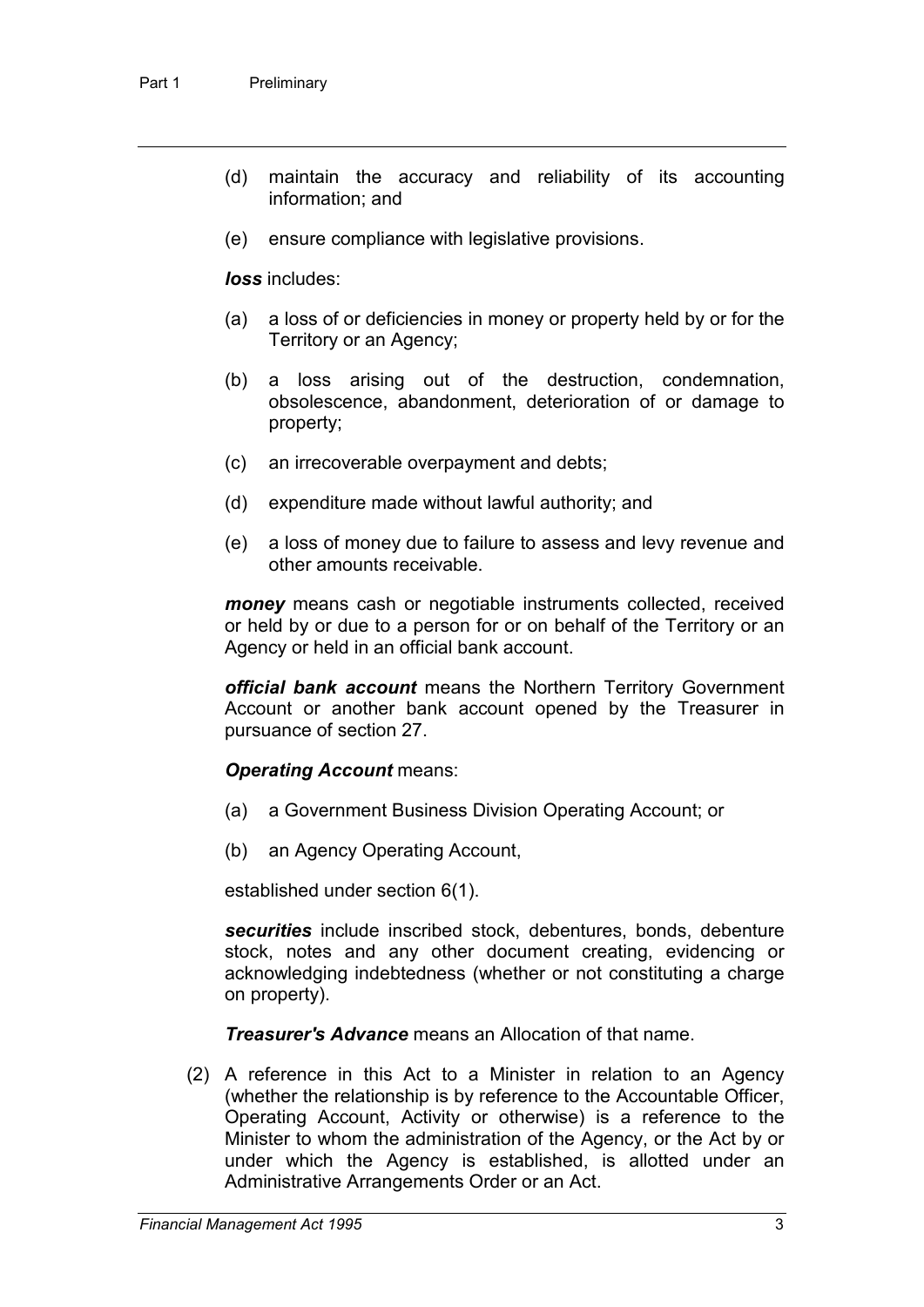- (d) maintain the accuracy and reliability of its accounting information; and
- (e) ensure compliance with legislative provisions.

*loss* includes:

- (a) a loss of or deficiencies in money or property held by or for the Territory or an Agency;
- (b) a loss arising out of the destruction, condemnation, obsolescence, abandonment, deterioration of or damage to property;
- (c) an irrecoverable overpayment and debts;
- (d) expenditure made without lawful authority; and
- (e) a loss of money due to failure to assess and levy revenue and other amounts receivable.

*money* means cash or negotiable instruments collected, received or held by or due to a person for or on behalf of the Territory or an Agency or held in an official bank account.

*official bank account* means the Northern Territory Government Account or another bank account opened by the Treasurer in pursuance of section 27.

### *Operating Account* means:

- (a) a Government Business Division Operating Account; or
- (b) an Agency Operating Account,

established under section 6(1).

*securities* include inscribed stock, debentures, bonds, debenture stock, notes and any other document creating, evidencing or acknowledging indebtedness (whether or not constituting a charge on property).

*Treasurer's Advance* means an Allocation of that name.

(2) A reference in this Act to a Minister in relation to an Agency (whether the relationship is by reference to the Accountable Officer, Operating Account, Activity or otherwise) is a reference to the Minister to whom the administration of the Agency, or the Act by or under which the Agency is established, is allotted under an Administrative Arrangements Order or an Act.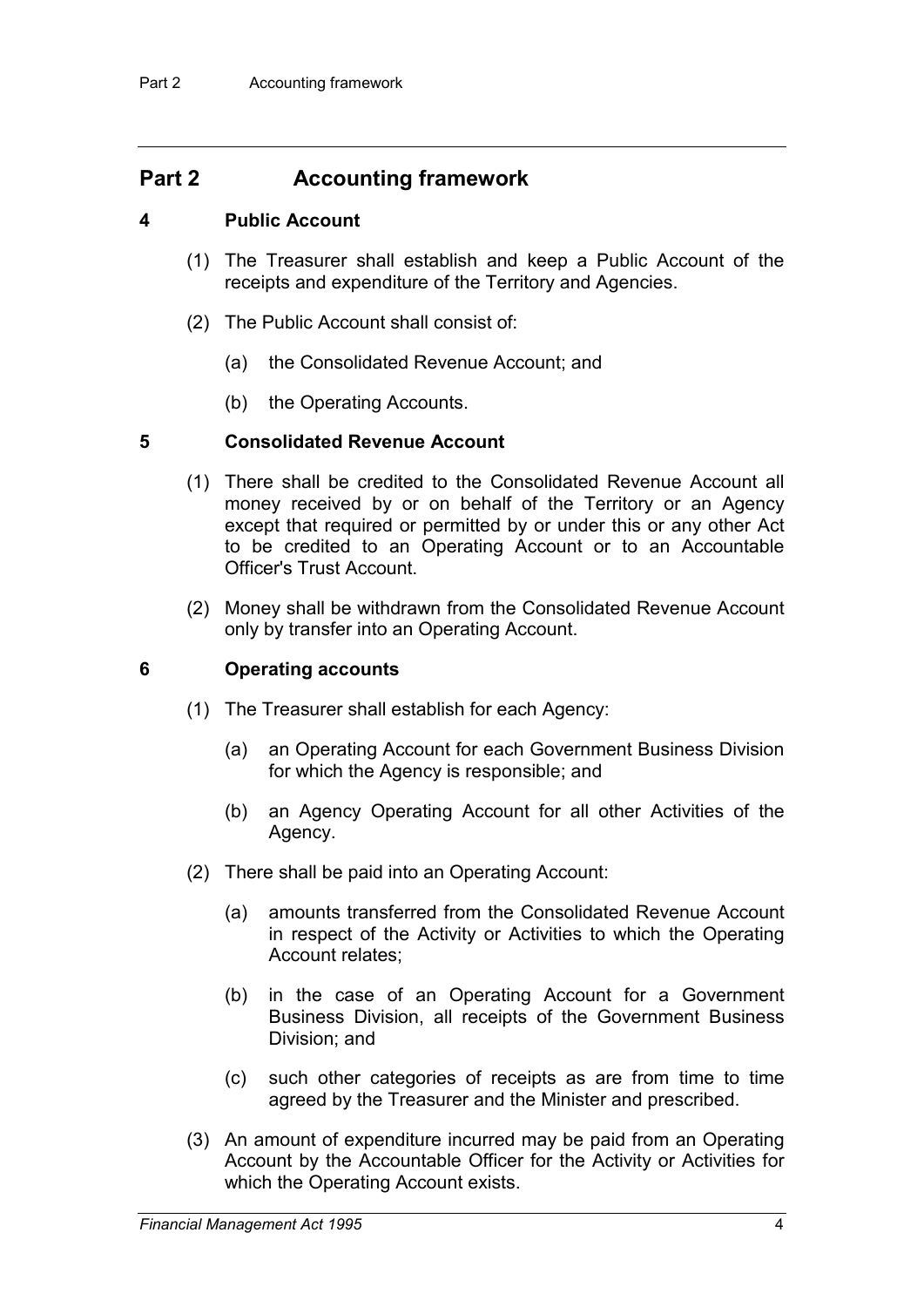## **Part 2 Accounting framework**

### **4 Public Account**

- (1) The Treasurer shall establish and keep a Public Account of the receipts and expenditure of the Territory and Agencies.
- (2) The Public Account shall consist of:
	- (a) the Consolidated Revenue Account; and
	- (b) the Operating Accounts.

### **5 Consolidated Revenue Account**

- (1) There shall be credited to the Consolidated Revenue Account all money received by or on behalf of the Territory or an Agency except that required or permitted by or under this or any other Act to be credited to an Operating Account or to an Accountable Officer's Trust Account.
- (2) Money shall be withdrawn from the Consolidated Revenue Account only by transfer into an Operating Account.

### **6 Operating accounts**

- (1) The Treasurer shall establish for each Agency:
	- (a) an Operating Account for each Government Business Division for which the Agency is responsible; and
	- (b) an Agency Operating Account for all other Activities of the Agency.
- (2) There shall be paid into an Operating Account:
	- (a) amounts transferred from the Consolidated Revenue Account in respect of the Activity or Activities to which the Operating Account relates;
	- (b) in the case of an Operating Account for a Government Business Division, all receipts of the Government Business Division; and
	- (c) such other categories of receipts as are from time to time agreed by the Treasurer and the Minister and prescribed.
- (3) An amount of expenditure incurred may be paid from an Operating Account by the Accountable Officer for the Activity or Activities for which the Operating Account exists.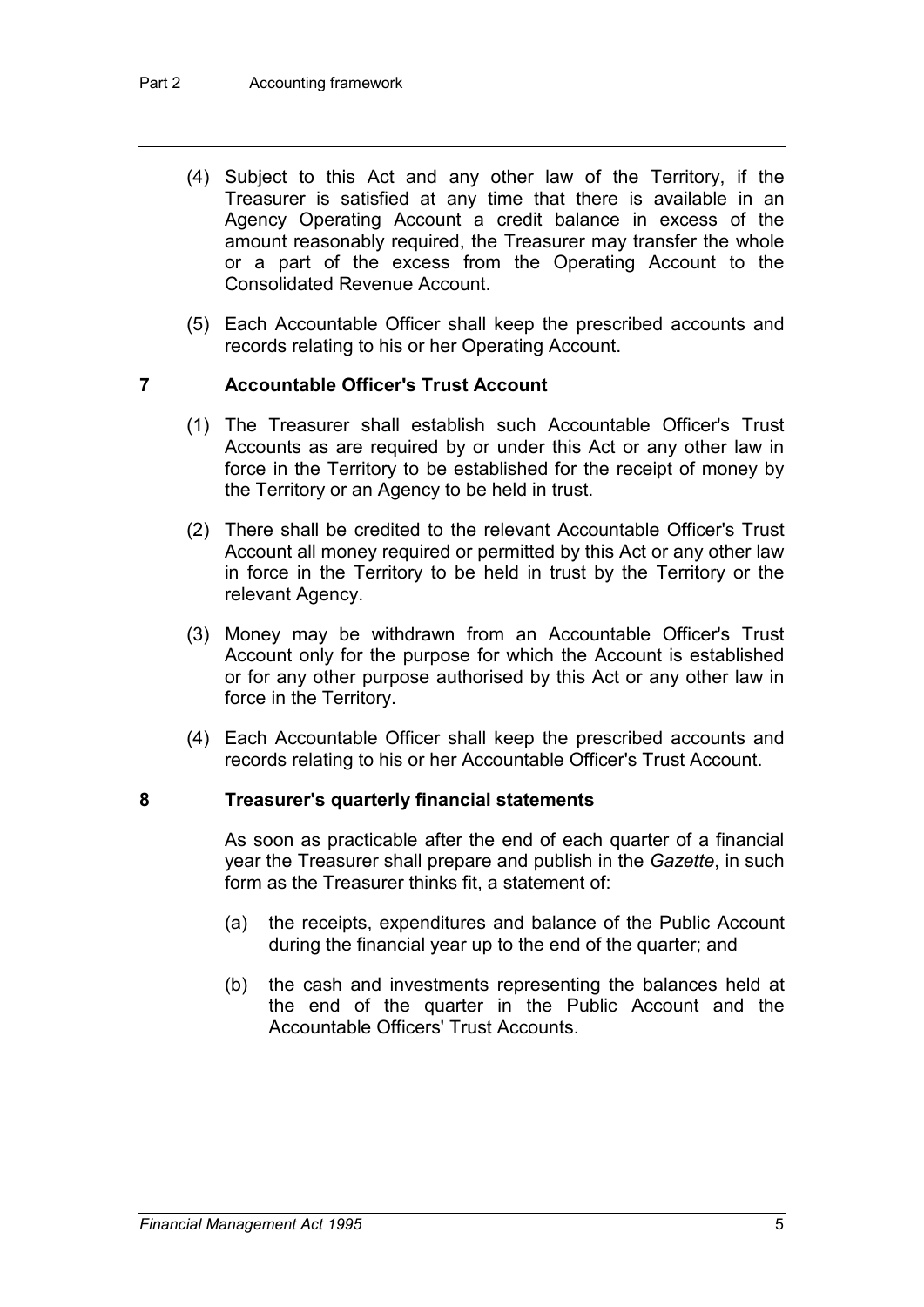- (4) Subject to this Act and any other law of the Territory, if the Treasurer is satisfied at any time that there is available in an Agency Operating Account a credit balance in excess of the amount reasonably required, the Treasurer may transfer the whole or a part of the excess from the Operating Account to the Consolidated Revenue Account.
- (5) Each Accountable Officer shall keep the prescribed accounts and records relating to his or her Operating Account.

### **7 Accountable Officer's Trust Account**

- (1) The Treasurer shall establish such Accountable Officer's Trust Accounts as are required by or under this Act or any other law in force in the Territory to be established for the receipt of money by the Territory or an Agency to be held in trust.
- (2) There shall be credited to the relevant Accountable Officer's Trust Account all money required or permitted by this Act or any other law in force in the Territory to be held in trust by the Territory or the relevant Agency.
- (3) Money may be withdrawn from an Accountable Officer's Trust Account only for the purpose for which the Account is established or for any other purpose authorised by this Act or any other law in force in the Territory.
- (4) Each Accountable Officer shall keep the prescribed accounts and records relating to his or her Accountable Officer's Trust Account.

#### **8 Treasurer's quarterly financial statements**

As soon as practicable after the end of each quarter of a financial year the Treasurer shall prepare and publish in the *Gazette*, in such form as the Treasurer thinks fit, a statement of:

- (a) the receipts, expenditures and balance of the Public Account during the financial year up to the end of the quarter; and
- (b) the cash and investments representing the balances held at the end of the quarter in the Public Account and the Accountable Officers' Trust Accounts.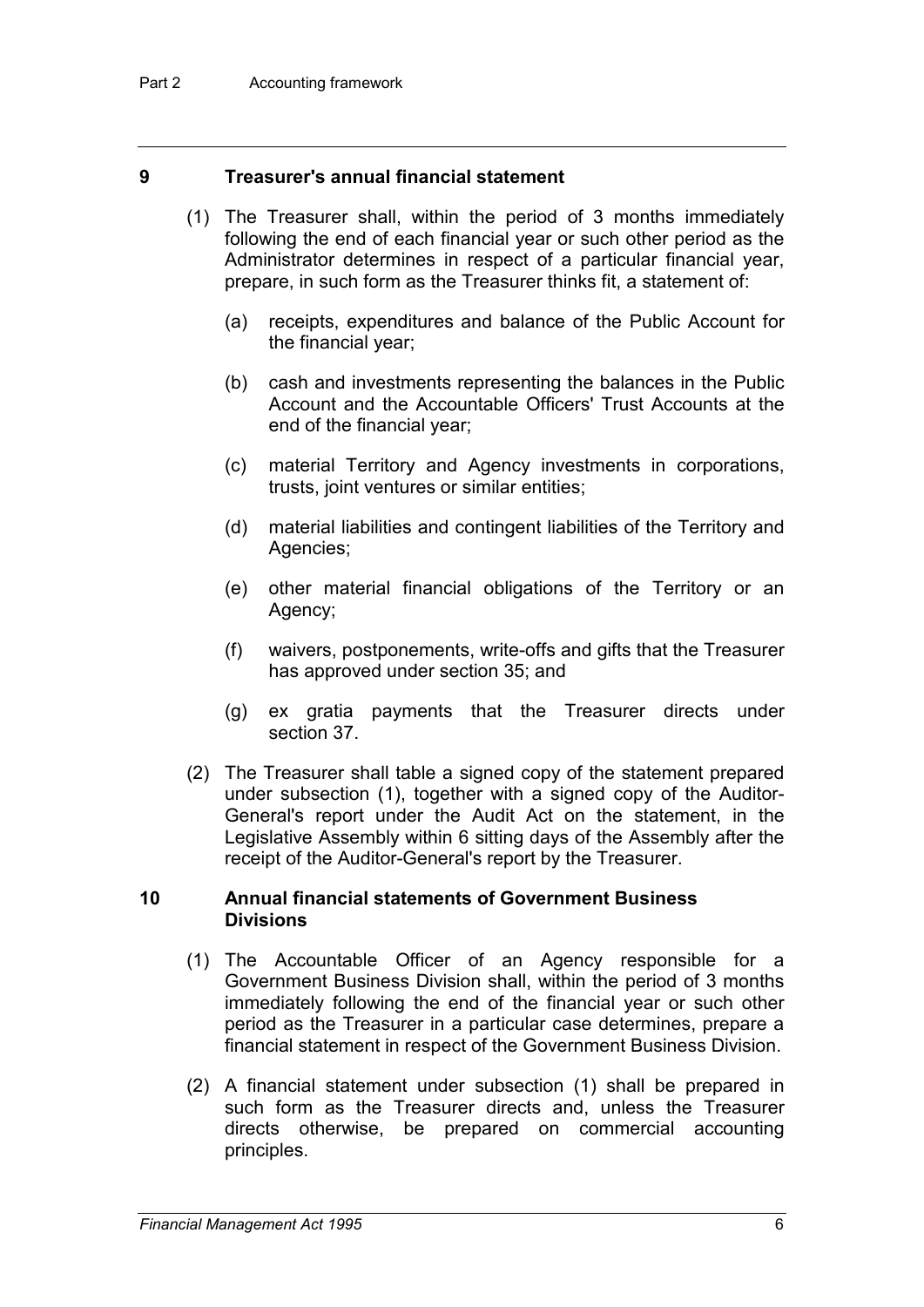#### **9 Treasurer's annual financial statement**

- (1) The Treasurer shall, within the period of 3 months immediately following the end of each financial year or such other period as the Administrator determines in respect of a particular financial year, prepare, in such form as the Treasurer thinks fit, a statement of:
	- (a) receipts, expenditures and balance of the Public Account for the financial year;
	- (b) cash and investments representing the balances in the Public Account and the Accountable Officers' Trust Accounts at the end of the financial year;
	- (c) material Territory and Agency investments in corporations, trusts, joint ventures or similar entities;
	- (d) material liabilities and contingent liabilities of the Territory and Agencies;
	- (e) other material financial obligations of the Territory or an Agency;
	- (f) waivers, postponements, write-offs and gifts that the Treasurer has approved under section 35; and
	- (g) ex gratia payments that the Treasurer directs under section 37.
- (2) The Treasurer shall table a signed copy of the statement prepared under subsection (1), together with a signed copy of the Auditor-General's report under the Audit Act on the statement, in the Legislative Assembly within 6 sitting days of the Assembly after the receipt of the Auditor-General's report by the Treasurer.

#### **10 Annual financial statements of Government Business Divisions**

- (1) The Accountable Officer of an Agency responsible for a Government Business Division shall, within the period of 3 months immediately following the end of the financial year or such other period as the Treasurer in a particular case determines, prepare a financial statement in respect of the Government Business Division.
- (2) A financial statement under subsection (1) shall be prepared in such form as the Treasurer directs and, unless the Treasurer directs otherwise, be prepared on commercial accounting principles.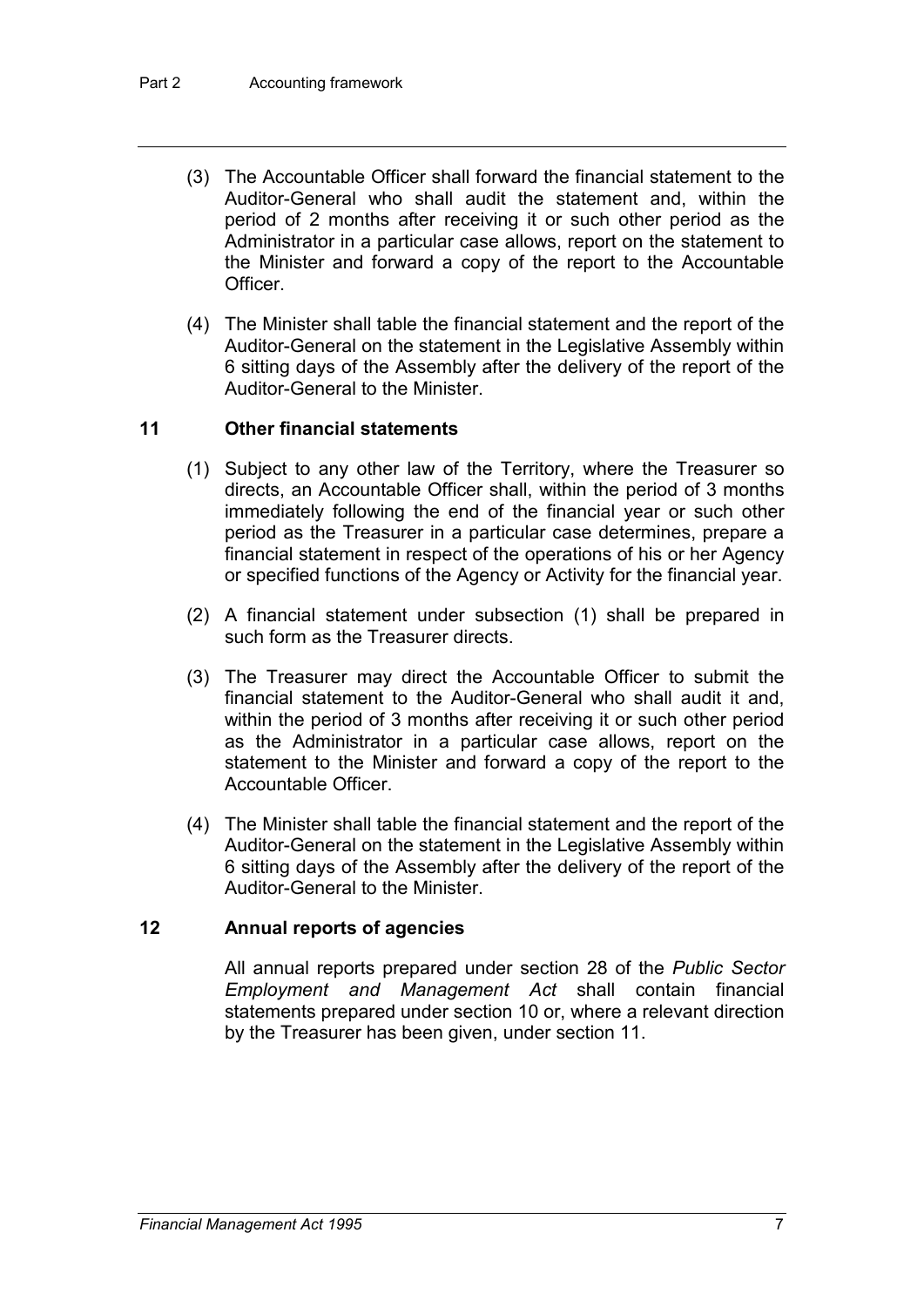- (3) The Accountable Officer shall forward the financial statement to the Auditor-General who shall audit the statement and, within the period of 2 months after receiving it or such other period as the Administrator in a particular case allows, report on the statement to the Minister and forward a copy of the report to the Accountable Officer.
- (4) The Minister shall table the financial statement and the report of the Auditor-General on the statement in the Legislative Assembly within 6 sitting days of the Assembly after the delivery of the report of the Auditor-General to the Minister.

### **11 Other financial statements**

- (1) Subject to any other law of the Territory, where the Treasurer so directs, an Accountable Officer shall, within the period of 3 months immediately following the end of the financial year or such other period as the Treasurer in a particular case determines, prepare a financial statement in respect of the operations of his or her Agency or specified functions of the Agency or Activity for the financial year.
- (2) A financial statement under subsection (1) shall be prepared in such form as the Treasurer directs.
- (3) The Treasurer may direct the Accountable Officer to submit the financial statement to the Auditor-General who shall audit it and, within the period of 3 months after receiving it or such other period as the Administrator in a particular case allows, report on the statement to the Minister and forward a copy of the report to the Accountable Officer.
- (4) The Minister shall table the financial statement and the report of the Auditor-General on the statement in the Legislative Assembly within 6 sitting days of the Assembly after the delivery of the report of the Auditor-General to the Minister.

### **12 Annual reports of agencies**

All annual reports prepared under section 28 of the *Public Sector Employment and Management Act* shall contain financial statements prepared under section 10 or, where a relevant direction by the Treasurer has been given, under section 11.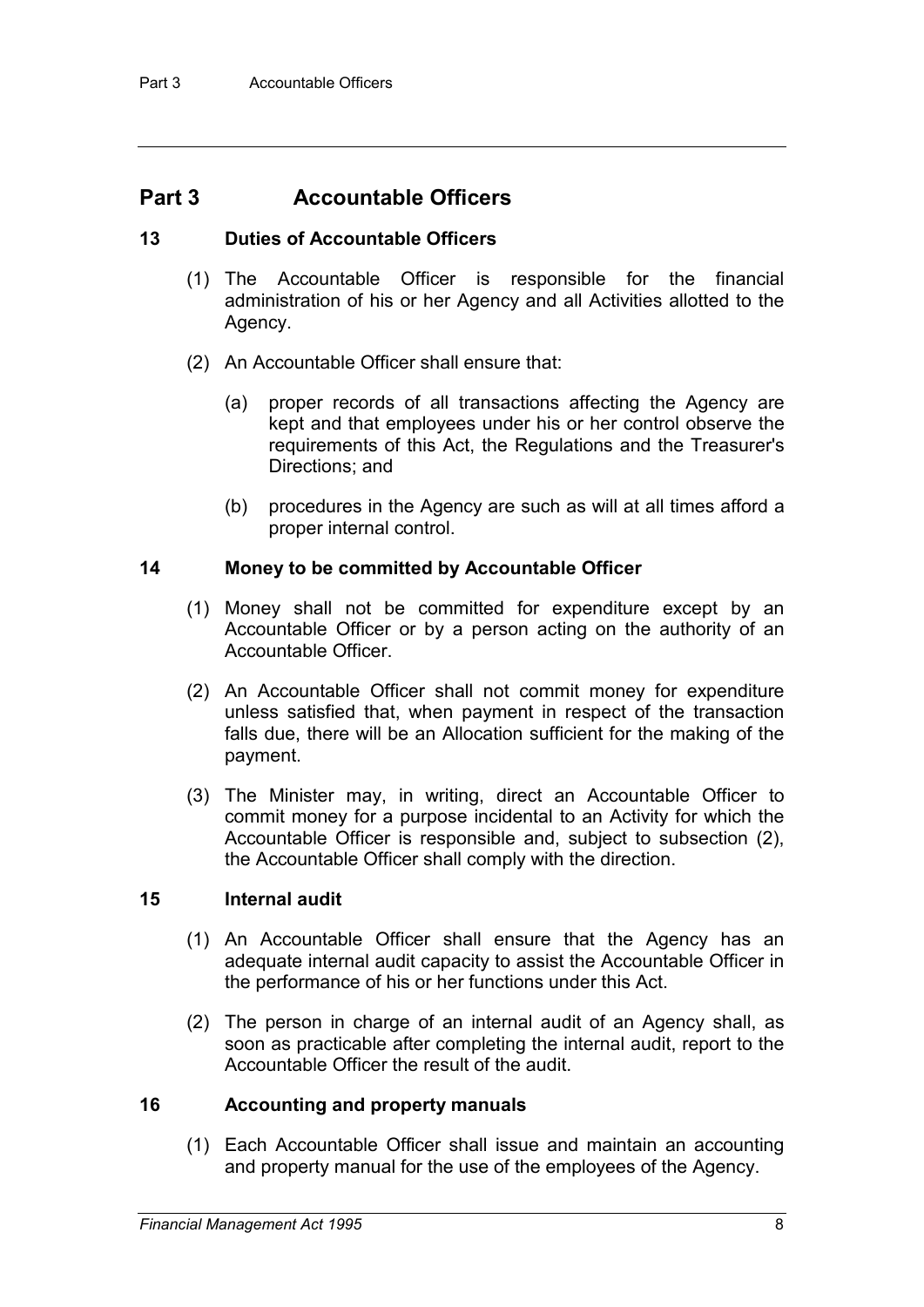## **Part 3 Accountable Officers**

### **13 Duties of Accountable Officers**

- (1) The Accountable Officer is responsible for the financial administration of his or her Agency and all Activities allotted to the Agency.
- (2) An Accountable Officer shall ensure that:
	- (a) proper records of all transactions affecting the Agency are kept and that employees under his or her control observe the requirements of this Act, the Regulations and the Treasurer's Directions; and
	- (b) procedures in the Agency are such as will at all times afford a proper internal control.

### **14 Money to be committed by Accountable Officer**

- (1) Money shall not be committed for expenditure except by an Accountable Officer or by a person acting on the authority of an Accountable Officer.
- (2) An Accountable Officer shall not commit money for expenditure unless satisfied that, when payment in respect of the transaction falls due, there will be an Allocation sufficient for the making of the payment.
- (3) The Minister may, in writing, direct an Accountable Officer to commit money for a purpose incidental to an Activity for which the Accountable Officer is responsible and, subject to subsection (2), the Accountable Officer shall comply with the direction.

### **15 Internal audit**

- (1) An Accountable Officer shall ensure that the Agency has an adequate internal audit capacity to assist the Accountable Officer in the performance of his or her functions under this Act.
- (2) The person in charge of an internal audit of an Agency shall, as soon as practicable after completing the internal audit, report to the Accountable Officer the result of the audit.

### **16 Accounting and property manuals**

(1) Each Accountable Officer shall issue and maintain an accounting and property manual for the use of the employees of the Agency.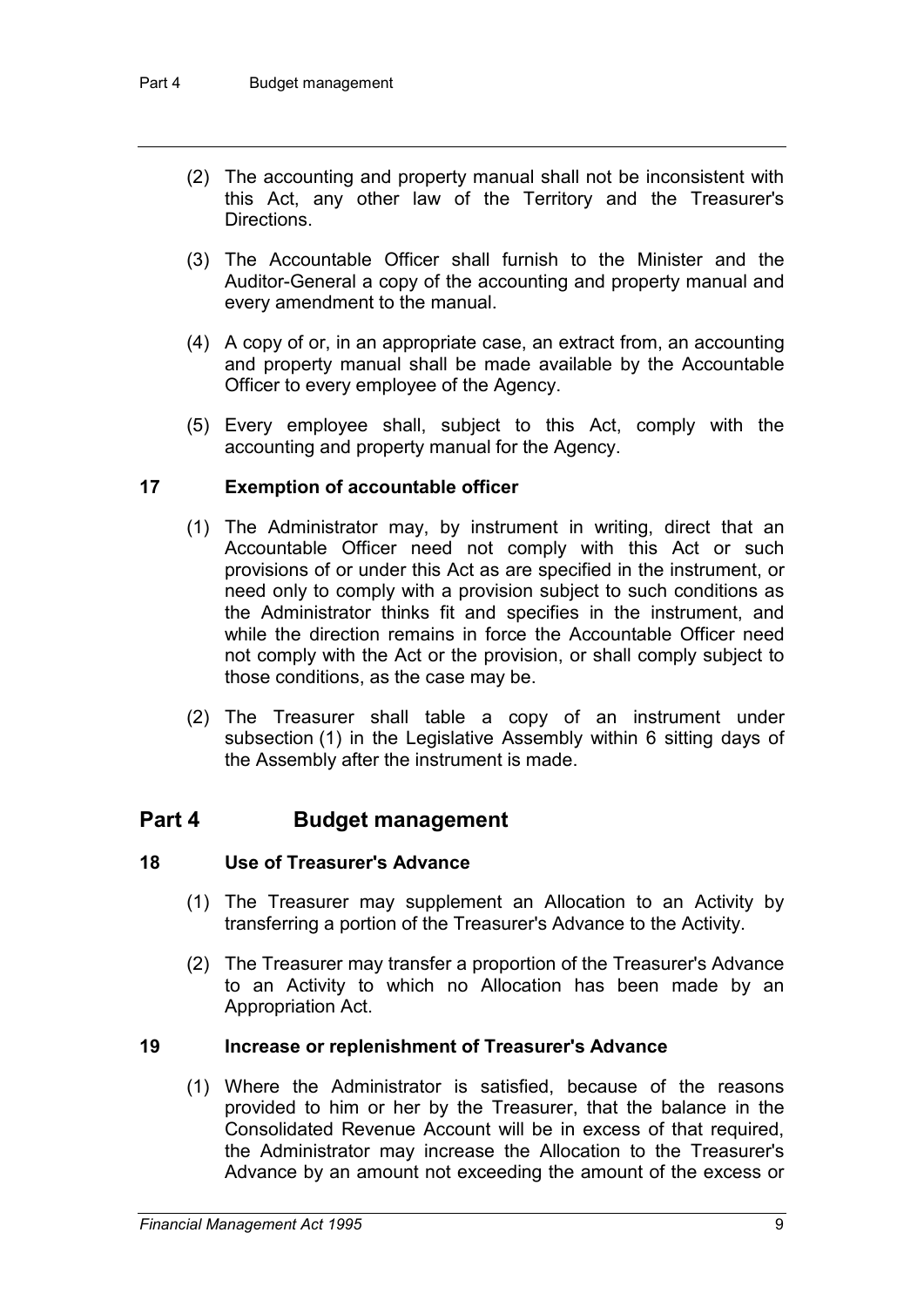- (2) The accounting and property manual shall not be inconsistent with this Act, any other law of the Territory and the Treasurer's **Directions**
- (3) The Accountable Officer shall furnish to the Minister and the Auditor-General a copy of the accounting and property manual and every amendment to the manual.
- (4) A copy of or, in an appropriate case, an extract from, an accounting and property manual shall be made available by the Accountable Officer to every employee of the Agency.
- (5) Every employee shall, subject to this Act, comply with the accounting and property manual for the Agency.

### **17 Exemption of accountable officer**

- (1) The Administrator may, by instrument in writing, direct that an Accountable Officer need not comply with this Act or such provisions of or under this Act as are specified in the instrument, or need only to comply with a provision subject to such conditions as the Administrator thinks fit and specifies in the instrument, and while the direction remains in force the Accountable Officer need not comply with the Act or the provision, or shall comply subject to those conditions, as the case may be.
- (2) The Treasurer shall table a copy of an instrument under subsection (1) in the Legislative Assembly within 6 sitting days of the Assembly after the instrument is made.

## **Part 4 Budget management**

#### **18 Use of Treasurer's Advance**

- (1) The Treasurer may supplement an Allocation to an Activity by transferring a portion of the Treasurer's Advance to the Activity.
- (2) The Treasurer may transfer a proportion of the Treasurer's Advance to an Activity to which no Allocation has been made by an Appropriation Act.

#### **19 Increase or replenishment of Treasurer's Advance**

(1) Where the Administrator is satisfied, because of the reasons provided to him or her by the Treasurer, that the balance in the Consolidated Revenue Account will be in excess of that required, the Administrator may increase the Allocation to the Treasurer's Advance by an amount not exceeding the amount of the excess or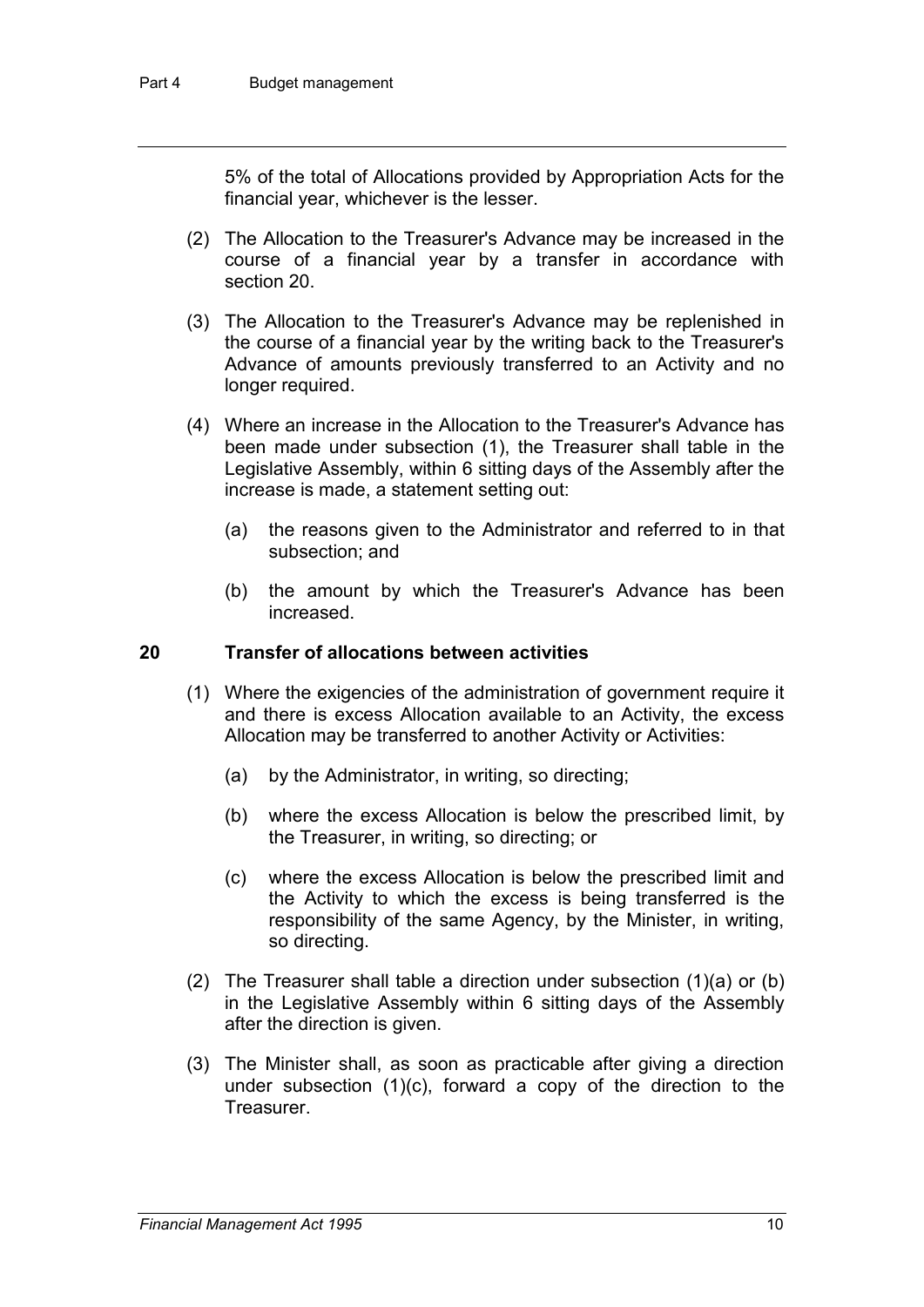5% of the total of Allocations provided by Appropriation Acts for the financial year, whichever is the lesser.

- (2) The Allocation to the Treasurer's Advance may be increased in the course of a financial year by a transfer in accordance with section 20.
- (3) The Allocation to the Treasurer's Advance may be replenished in the course of a financial year by the writing back to the Treasurer's Advance of amounts previously transferred to an Activity and no longer required.
- (4) Where an increase in the Allocation to the Treasurer's Advance has been made under subsection (1), the Treasurer shall table in the Legislative Assembly, within 6 sitting days of the Assembly after the increase is made, a statement setting out:
	- (a) the reasons given to the Administrator and referred to in that subsection; and
	- (b) the amount by which the Treasurer's Advance has been increased.

### **20 Transfer of allocations between activities**

- (1) Where the exigencies of the administration of government require it and there is excess Allocation available to an Activity, the excess Allocation may be transferred to another Activity or Activities:
	- (a) by the Administrator, in writing, so directing;
	- (b) where the excess Allocation is below the prescribed limit, by the Treasurer, in writing, so directing; or
	- (c) where the excess Allocation is below the prescribed limit and the Activity to which the excess is being transferred is the responsibility of the same Agency, by the Minister, in writing, so directing.
- (2) The Treasurer shall table a direction under subsection (1)(a) or (b) in the Legislative Assembly within 6 sitting days of the Assembly after the direction is given.
- (3) The Minister shall, as soon as practicable after giving a direction under subsection (1)(c), forward a copy of the direction to the Treasurer.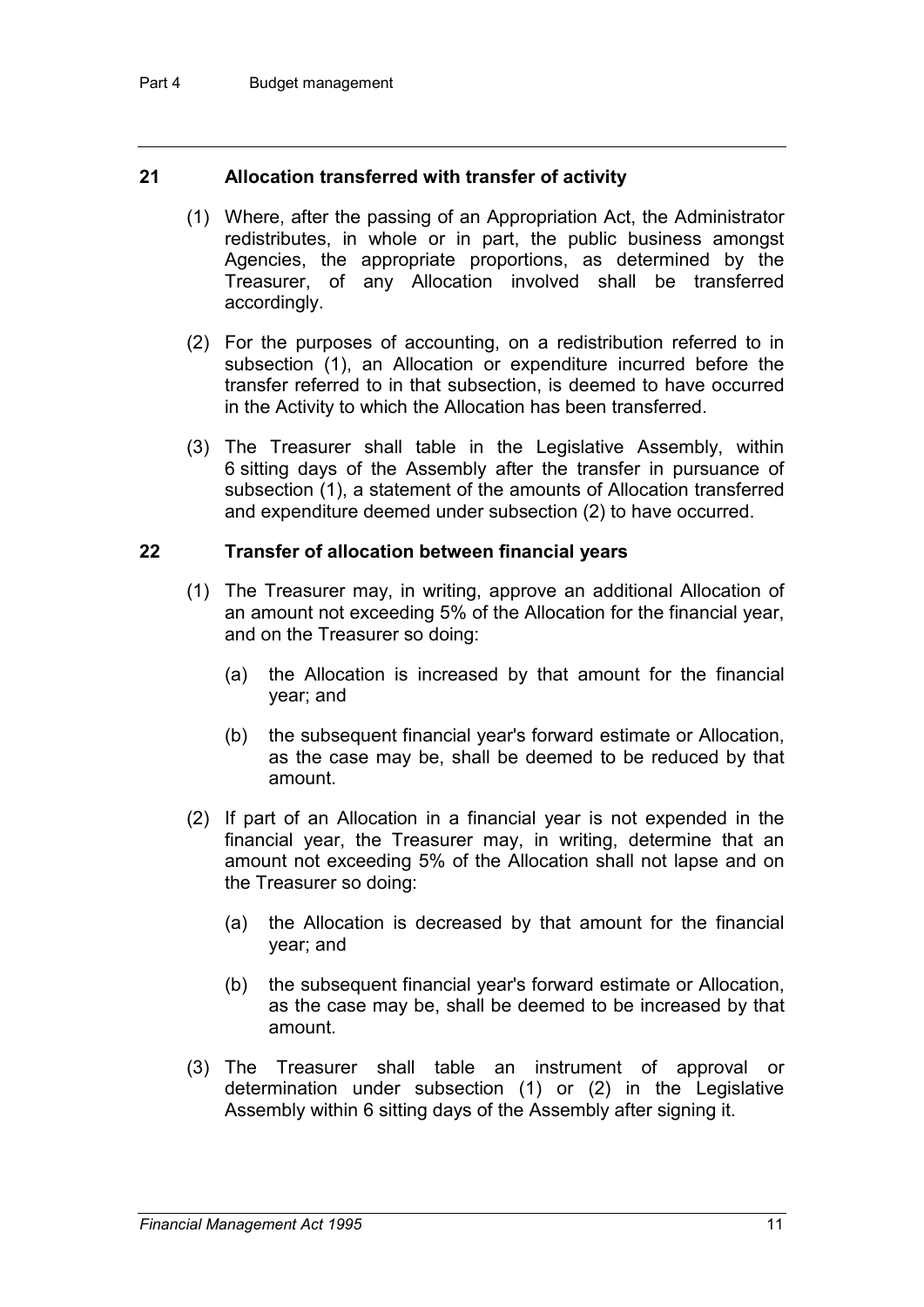### **21 Allocation transferred with transfer of activity**

- (1) Where, after the passing of an Appropriation Act, the Administrator redistributes, in whole or in part, the public business amongst Agencies, the appropriate proportions, as determined by the Treasurer, of any Allocation involved shall be transferred accordingly.
- (2) For the purposes of accounting, on a redistribution referred to in subsection (1), an Allocation or expenditure incurred before the transfer referred to in that subsection, is deemed to have occurred in the Activity to which the Allocation has been transferred.
- (3) The Treasurer shall table in the Legislative Assembly, within 6 sitting days of the Assembly after the transfer in pursuance of subsection (1), a statement of the amounts of Allocation transferred and expenditure deemed under subsection (2) to have occurred.

### **22 Transfer of allocation between financial years**

- (1) The Treasurer may, in writing, approve an additional Allocation of an amount not exceeding 5% of the Allocation for the financial year, and on the Treasurer so doing:
	- (a) the Allocation is increased by that amount for the financial year; and
	- (b) the subsequent financial year's forward estimate or Allocation, as the case may be, shall be deemed to be reduced by that amount.
- (2) If part of an Allocation in a financial year is not expended in the financial year, the Treasurer may, in writing, determine that an amount not exceeding 5% of the Allocation shall not lapse and on the Treasurer so doing:
	- (a) the Allocation is decreased by that amount for the financial year; and
	- (b) the subsequent financial year's forward estimate or Allocation, as the case may be, shall be deemed to be increased by that amount.
- (3) The Treasurer shall table an instrument of approval or determination under subsection (1) or (2) in the Legislative Assembly within 6 sitting days of the Assembly after signing it.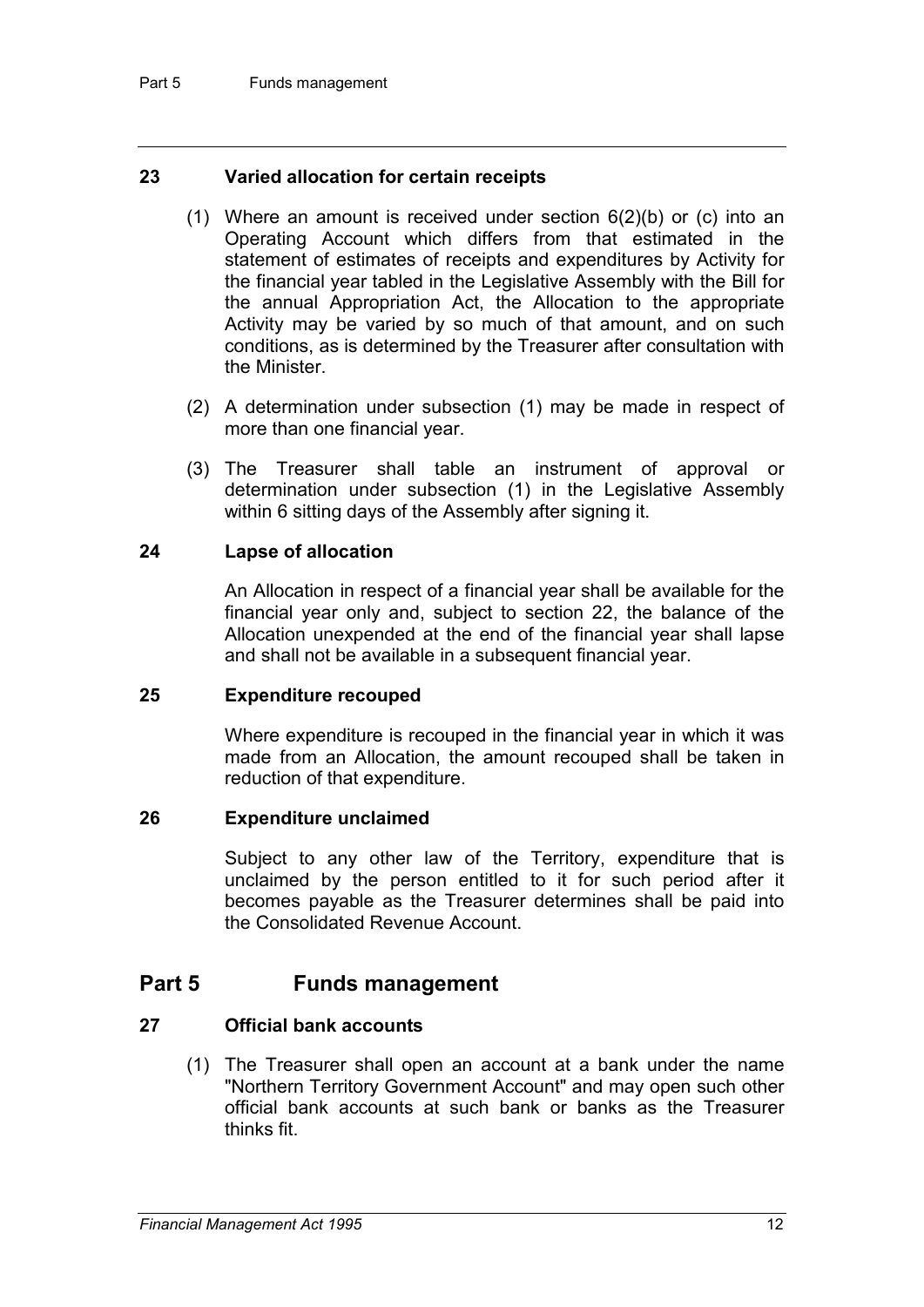### **23 Varied allocation for certain receipts**

- (1) Where an amount is received under section  $6(2)(b)$  or (c) into an Operating Account which differs from that estimated in the statement of estimates of receipts and expenditures by Activity for the financial year tabled in the Legislative Assembly with the Bill for the annual Appropriation Act, the Allocation to the appropriate Activity may be varied by so much of that amount, and on such conditions, as is determined by the Treasurer after consultation with the Minister.
- (2) A determination under subsection (1) may be made in respect of more than one financial year.
- (3) The Treasurer shall table an instrument of approval or determination under subsection (1) in the Legislative Assembly within 6 sitting days of the Assembly after signing it.

### **24 Lapse of allocation**

An Allocation in respect of a financial year shall be available for the financial year only and, subject to section 22, the balance of the Allocation unexpended at the end of the financial year shall lapse and shall not be available in a subsequent financial year.

#### **25 Expenditure recouped**

Where expenditure is recouped in the financial year in which it was made from an Allocation, the amount recouped shall be taken in reduction of that expenditure.

#### **26 Expenditure unclaimed**

Subject to any other law of the Territory, expenditure that is unclaimed by the person entitled to it for such period after it becomes payable as the Treasurer determines shall be paid into the Consolidated Revenue Account.

### **Part 5 Funds management**

### **27 Official bank accounts**

(1) The Treasurer shall open an account at a bank under the name "Northern Territory Government Account" and may open such other official bank accounts at such bank or banks as the Treasurer thinks fit.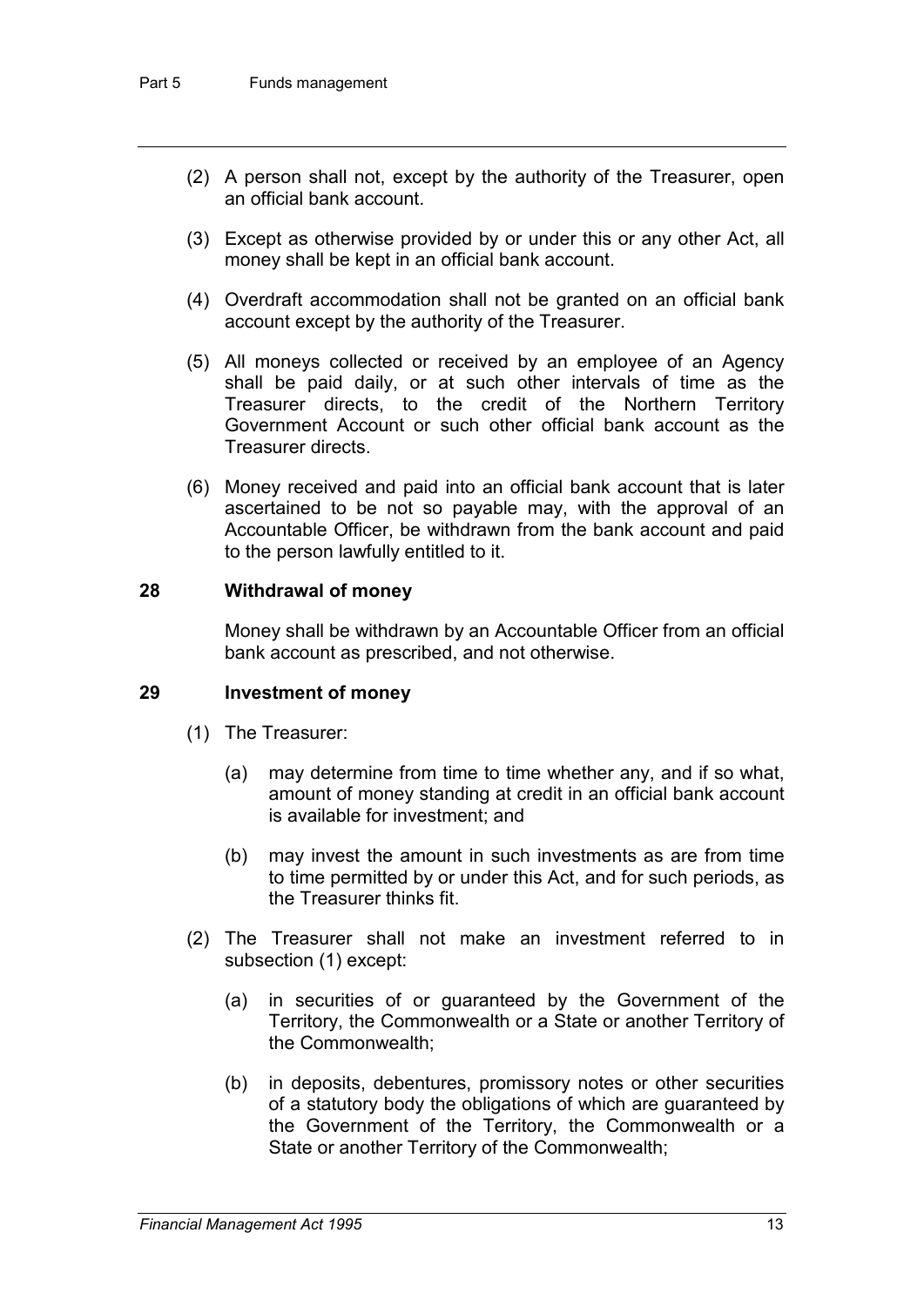- (2) A person shall not, except by the authority of the Treasurer, open an official bank account.
- (3) Except as otherwise provided by or under this or any other Act, all money shall be kept in an official bank account.
- (4) Overdraft accommodation shall not be granted on an official bank account except by the authority of the Treasurer.
- (5) All moneys collected or received by an employee of an Agency shall be paid daily, or at such other intervals of time as the Treasurer directs, to the credit of the Northern Territory Government Account or such other official bank account as the Treasurer directs.
- (6) Money received and paid into an official bank account that is later ascertained to be not so payable may, with the approval of an Accountable Officer, be withdrawn from the bank account and paid to the person lawfully entitled to it.

### **28 Withdrawal of money**

Money shall be withdrawn by an Accountable Officer from an official bank account as prescribed, and not otherwise.

#### **29 Investment of money**

- (1) The Treasurer:
	- (a) may determine from time to time whether any, and if so what, amount of money standing at credit in an official bank account is available for investment; and
	- (b) may invest the amount in such investments as are from time to time permitted by or under this Act, and for such periods, as the Treasurer thinks fit.
- (2) The Treasurer shall not make an investment referred to in subsection (1) except:
	- (a) in securities of or guaranteed by the Government of the Territory, the Commonwealth or a State or another Territory of the Commonwealth;
	- (b) in deposits, debentures, promissory notes or other securities of a statutory body the obligations of which are guaranteed by the Government of the Territory, the Commonwealth or a State or another Territory of the Commonwealth;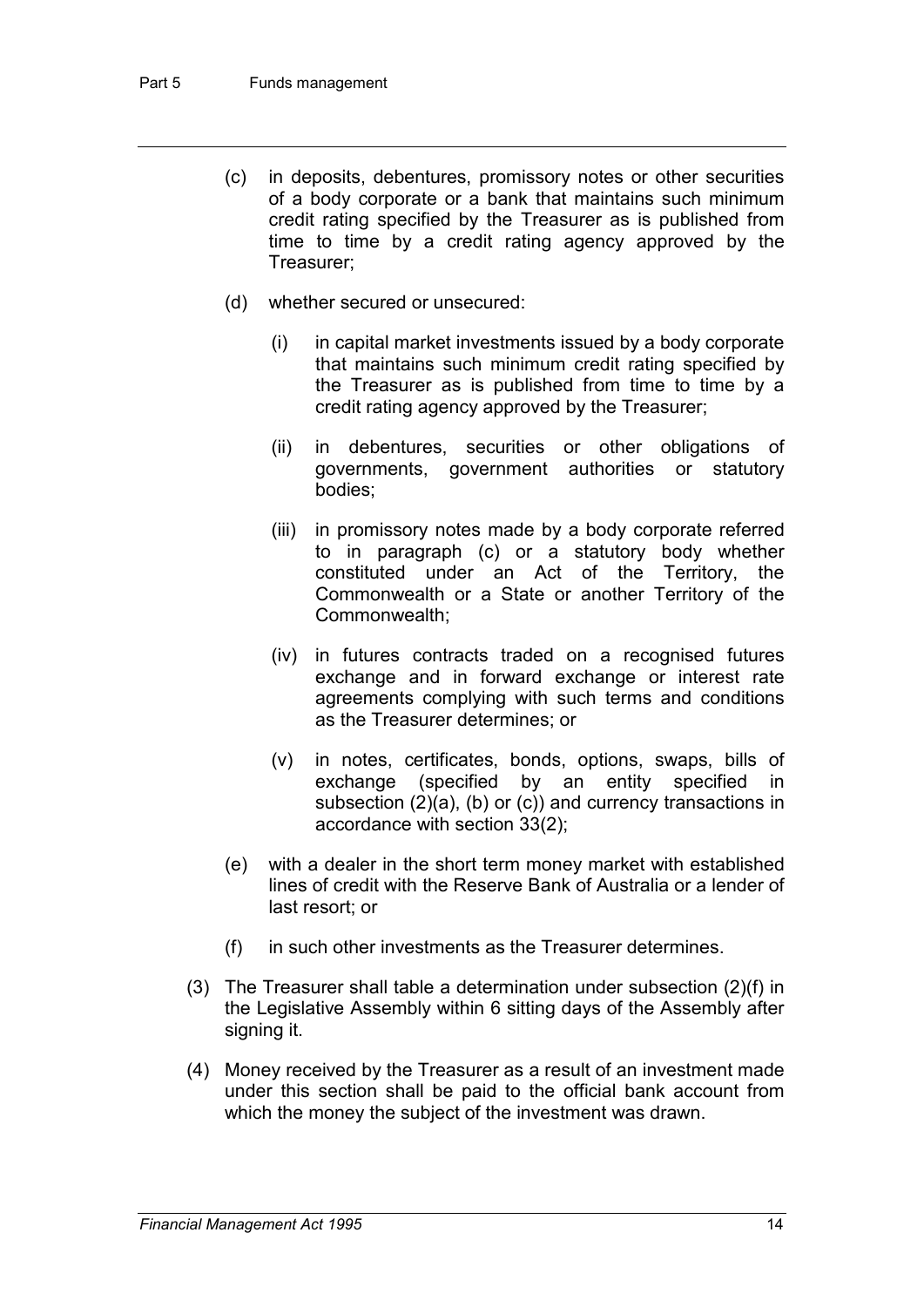- (c) in deposits, debentures, promissory notes or other securities of a body corporate or a bank that maintains such minimum credit rating specified by the Treasurer as is published from time to time by a credit rating agency approved by the Treasurer;
- (d) whether secured or unsecured:
	- (i) in capital market investments issued by a body corporate that maintains such minimum credit rating specified by the Treasurer as is published from time to time by a credit rating agency approved by the Treasurer;
	- (ii) in debentures, securities or other obligations of governments, government authorities or statutory bodies;
	- (iii) in promissory notes made by a body corporate referred to in paragraph (c) or a statutory body whether constituted under an Act of the Territory, the Commonwealth or a State or another Territory of the Commonwealth;
	- (iv) in futures contracts traded on a recognised futures exchange and in forward exchange or interest rate agreements complying with such terms and conditions as the Treasurer determines; or
	- (v) in notes, certificates, bonds, options, swaps, bills of exchange (specified by an entity specified in subsection (2)(a), (b) or (c)) and currency transactions in accordance with section 33(2);
- (e) with a dealer in the short term money market with established lines of credit with the Reserve Bank of Australia or a lender of last resort; or
- (f) in such other investments as the Treasurer determines.
- (3) The Treasurer shall table a determination under subsection (2)(f) in the Legislative Assembly within 6 sitting days of the Assembly after signing it.
- (4) Money received by the Treasurer as a result of an investment made under this section shall be paid to the official bank account from which the money the subject of the investment was drawn.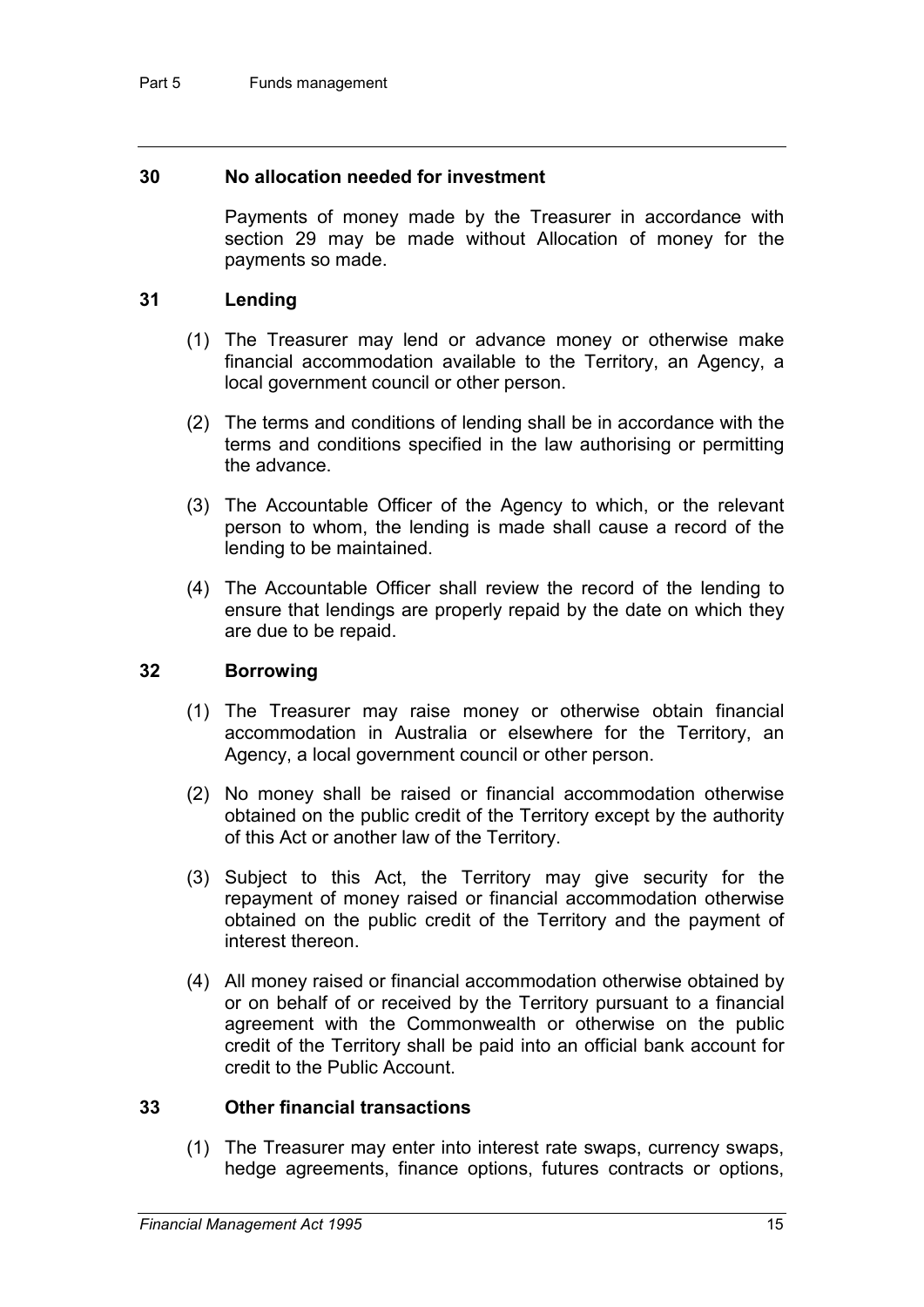#### **30 No allocation needed for investment**

Payments of money made by the Treasurer in accordance with section 29 may be made without Allocation of money for the payments so made.

### **31 Lending**

- (1) The Treasurer may lend or advance money or otherwise make financial accommodation available to the Territory, an Agency, a local government council or other person.
- (2) The terms and conditions of lending shall be in accordance with the terms and conditions specified in the law authorising or permitting the advance.
- (3) The Accountable Officer of the Agency to which, or the relevant person to whom, the lending is made shall cause a record of the lending to be maintained.
- (4) The Accountable Officer shall review the record of the lending to ensure that lendings are properly repaid by the date on which they are due to be repaid.

### **32 Borrowing**

- (1) The Treasurer may raise money or otherwise obtain financial accommodation in Australia or elsewhere for the Territory, an Agency, a local government council or other person.
- (2) No money shall be raised or financial accommodation otherwise obtained on the public credit of the Territory except by the authority of this Act or another law of the Territory.
- (3) Subject to this Act, the Territory may give security for the repayment of money raised or financial accommodation otherwise obtained on the public credit of the Territory and the payment of interest thereon.
- (4) All money raised or financial accommodation otherwise obtained by or on behalf of or received by the Territory pursuant to a financial agreement with the Commonwealth or otherwise on the public credit of the Territory shall be paid into an official bank account for credit to the Public Account.

### **33 Other financial transactions**

(1) The Treasurer may enter into interest rate swaps, currency swaps, hedge agreements, finance options, futures contracts or options,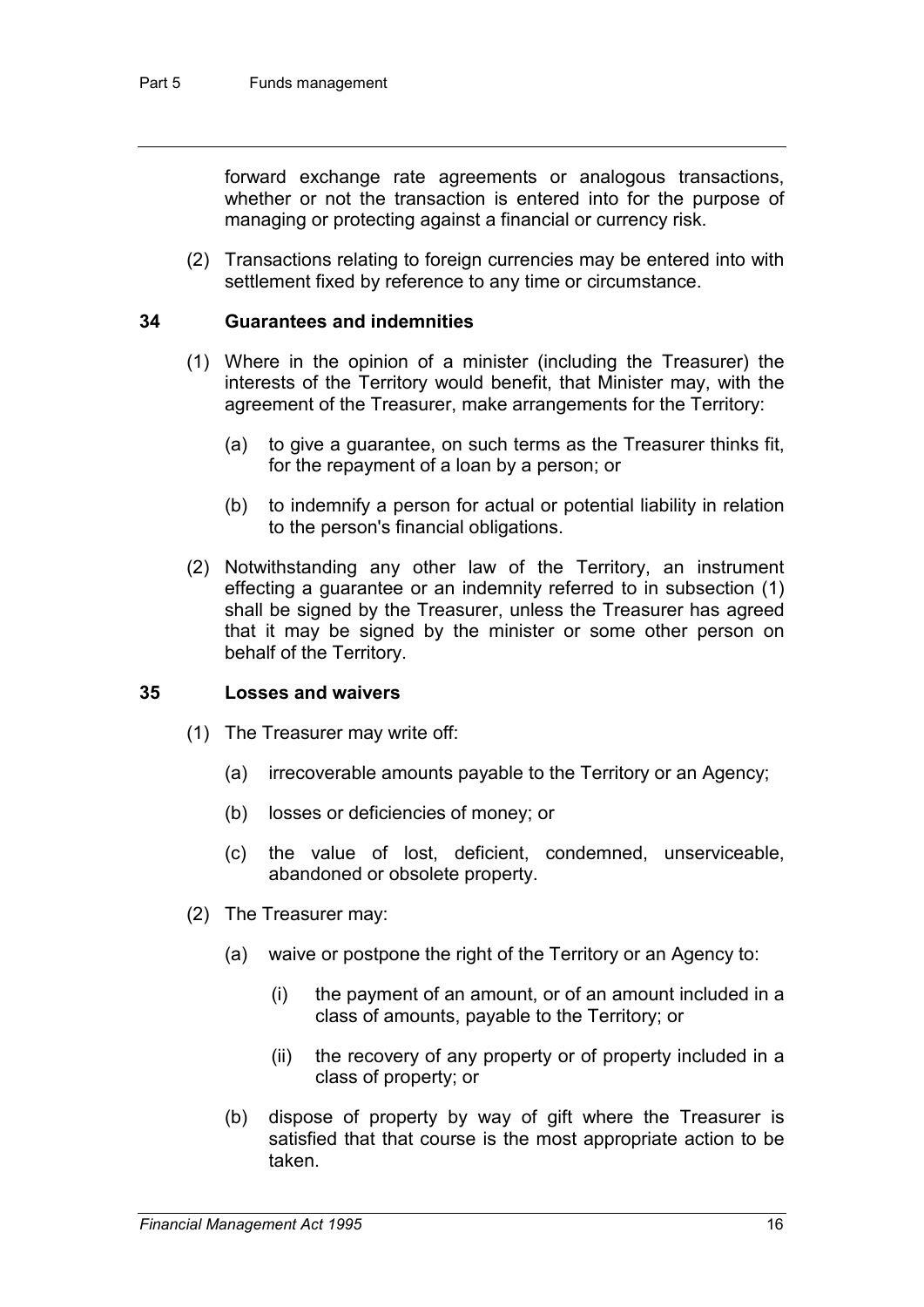forward exchange rate agreements or analogous transactions, whether or not the transaction is entered into for the purpose of managing or protecting against a financial or currency risk.

(2) Transactions relating to foreign currencies may be entered into with settlement fixed by reference to any time or circumstance.

#### **34 Guarantees and indemnities**

- (1) Where in the opinion of a minister (including the Treasurer) the interests of the Territory would benefit, that Minister may, with the agreement of the Treasurer, make arrangements for the Territory:
	- (a) to give a guarantee, on such terms as the Treasurer thinks fit, for the repayment of a loan by a person; or
	- (b) to indemnify a person for actual or potential liability in relation to the person's financial obligations.
- (2) Notwithstanding any other law of the Territory, an instrument effecting a guarantee or an indemnity referred to in subsection (1) shall be signed by the Treasurer, unless the Treasurer has agreed that it may be signed by the minister or some other person on behalf of the Territory.

#### **35 Losses and waivers**

- (1) The Treasurer may write off:
	- (a) irrecoverable amounts payable to the Territory or an Agency;
	- (b) losses or deficiencies of money; or
	- (c) the value of lost, deficient, condemned, unserviceable, abandoned or obsolete property.
- (2) The Treasurer may:
	- (a) waive or postpone the right of the Territory or an Agency to:
		- (i) the payment of an amount, or of an amount included in a class of amounts, payable to the Territory; or
		- (ii) the recovery of any property or of property included in a class of property; or
	- (b) dispose of property by way of gift where the Treasurer is satisfied that that course is the most appropriate action to be taken.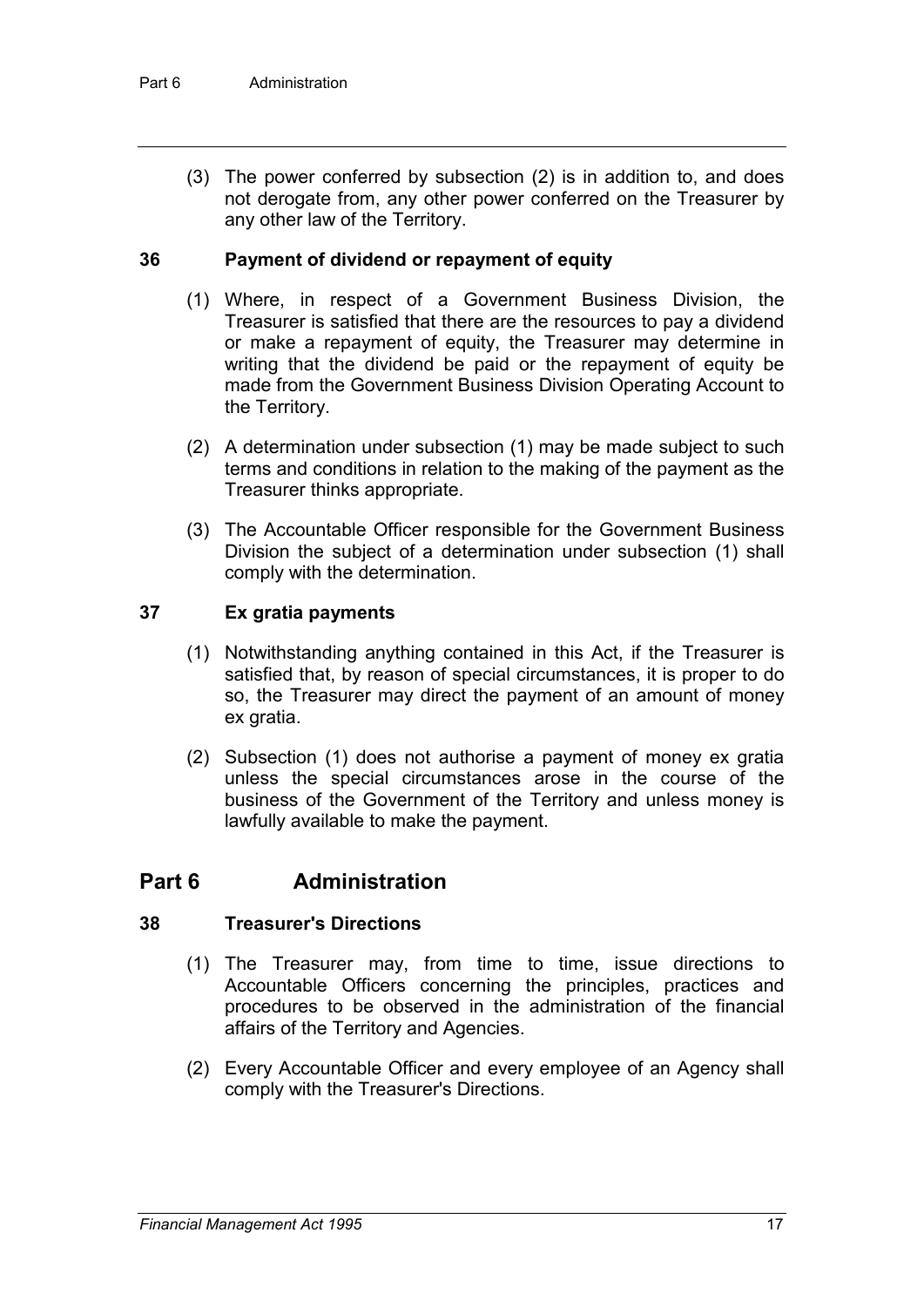(3) The power conferred by subsection (2) is in addition to, and does not derogate from, any other power conferred on the Treasurer by any other law of the Territory.

### **36 Payment of dividend or repayment of equity**

- (1) Where, in respect of a Government Business Division, the Treasurer is satisfied that there are the resources to pay a dividend or make a repayment of equity, the Treasurer may determine in writing that the dividend be paid or the repayment of equity be made from the Government Business Division Operating Account to the Territory.
- (2) A determination under subsection (1) may be made subject to such terms and conditions in relation to the making of the payment as the Treasurer thinks appropriate.
- (3) The Accountable Officer responsible for the Government Business Division the subject of a determination under subsection (1) shall comply with the determination.

### **37 Ex gratia payments**

- (1) Notwithstanding anything contained in this Act, if the Treasurer is satisfied that, by reason of special circumstances, it is proper to do so, the Treasurer may direct the payment of an amount of money ex gratia.
- (2) Subsection (1) does not authorise a payment of money ex gratia unless the special circumstances arose in the course of the business of the Government of the Territory and unless money is lawfully available to make the payment.

## **Part 6 Administration**

### **38 Treasurer's Directions**

- (1) The Treasurer may, from time to time, issue directions to Accountable Officers concerning the principles, practices and procedures to be observed in the administration of the financial affairs of the Territory and Agencies.
- (2) Every Accountable Officer and every employee of an Agency shall comply with the Treasurer's Directions.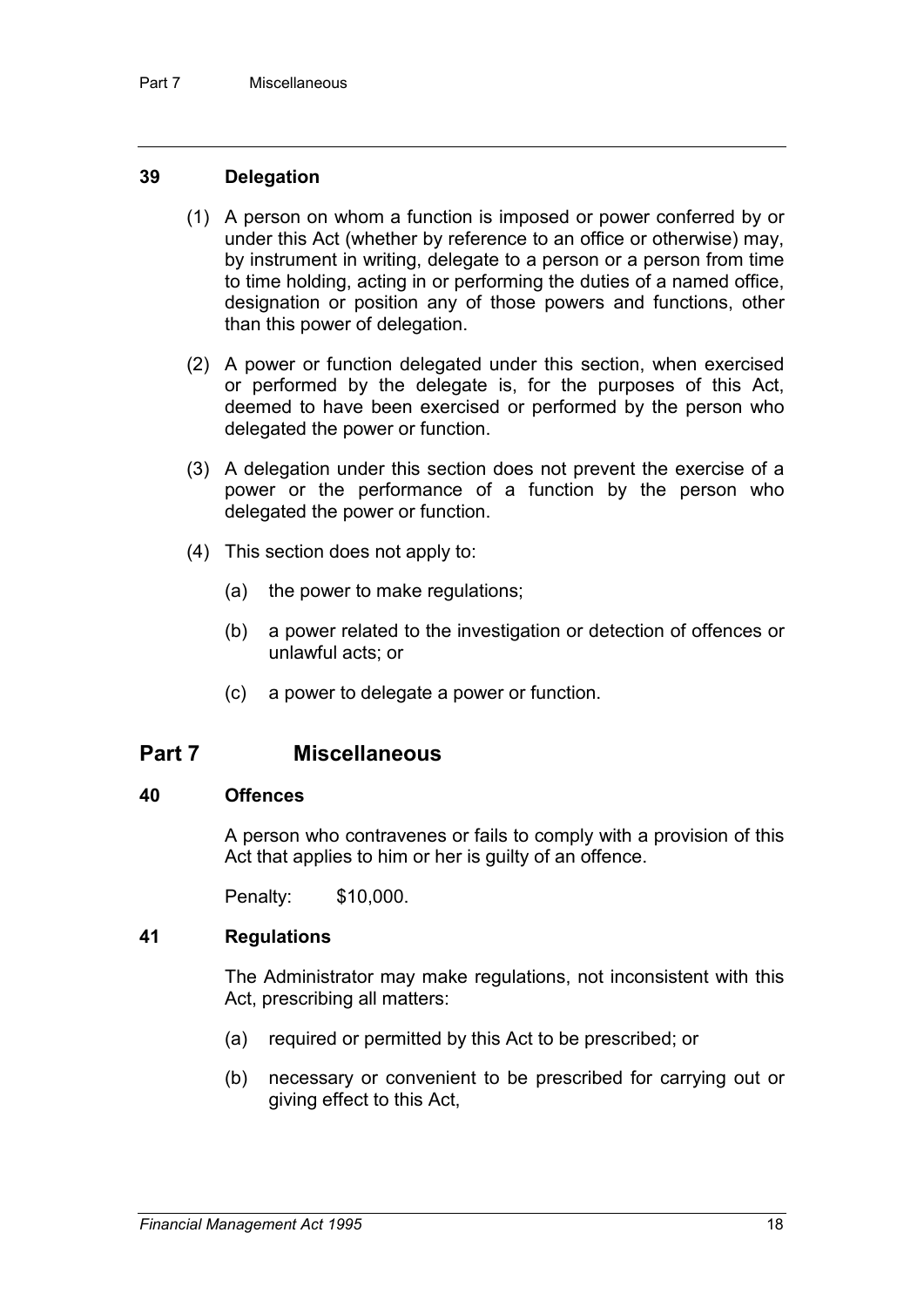#### **39 Delegation**

- (1) A person on whom a function is imposed or power conferred by or under this Act (whether by reference to an office or otherwise) may, by instrument in writing, delegate to a person or a person from time to time holding, acting in or performing the duties of a named office, designation or position any of those powers and functions, other than this power of delegation.
- (2) A power or function delegated under this section, when exercised or performed by the delegate is, for the purposes of this Act, deemed to have been exercised or performed by the person who delegated the power or function.
- (3) A delegation under this section does not prevent the exercise of a power or the performance of a function by the person who delegated the power or function.
- (4) This section does not apply to:
	- (a) the power to make regulations;
	- (b) a power related to the investigation or detection of offences or unlawful acts; or
	- (c) a power to delegate a power or function.

### **Part 7 Miscellaneous**

#### **40 Offences**

A person who contravenes or fails to comply with a provision of this Act that applies to him or her is guilty of an offence.

Penalty: \$10,000.

### **41 Regulations**

The Administrator may make regulations, not inconsistent with this Act, prescribing all matters:

- (a) required or permitted by this Act to be prescribed; or
- (b) necessary or convenient to be prescribed for carrying out or giving effect to this Act,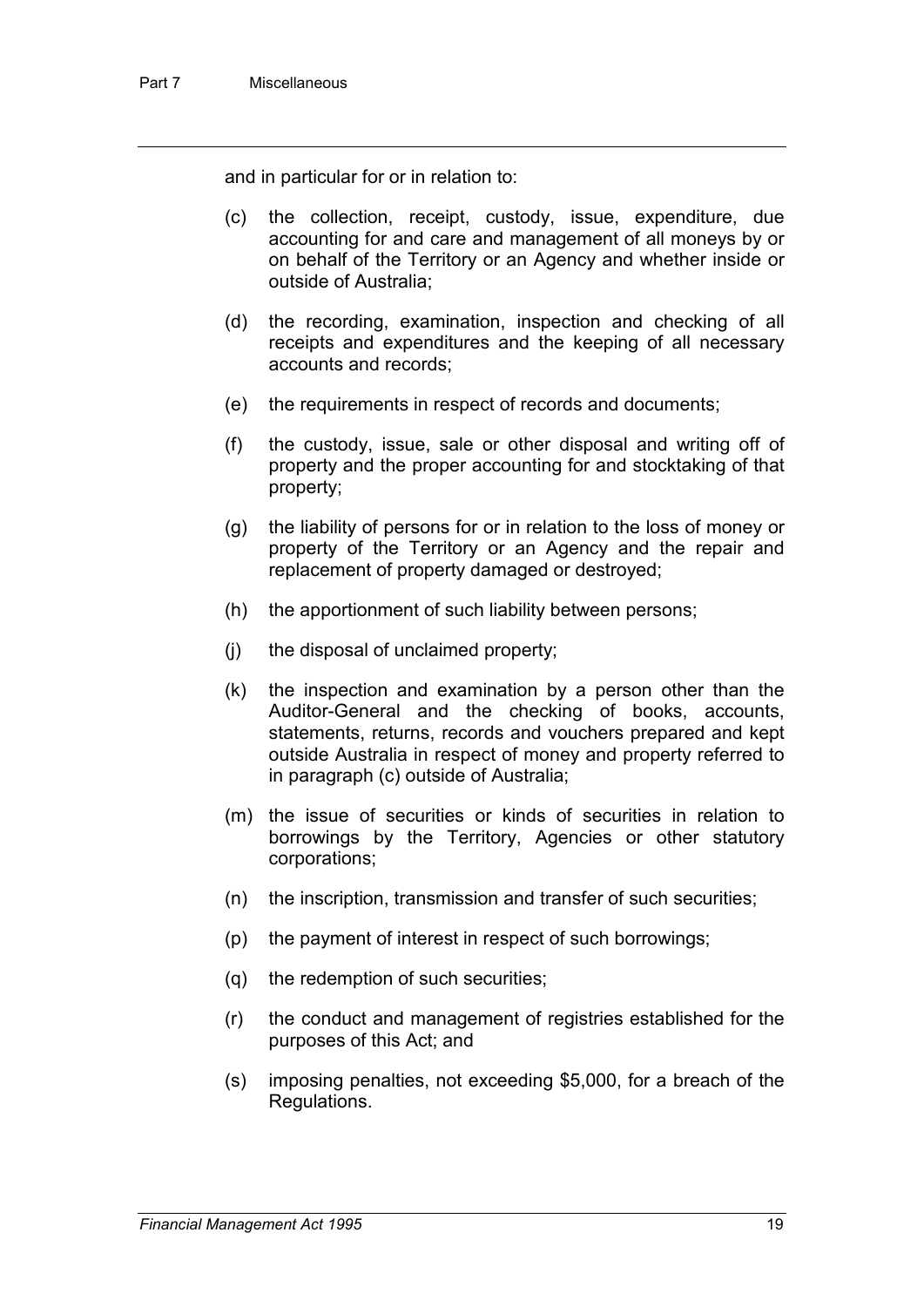and in particular for or in relation to:

- (c) the collection, receipt, custody, issue, expenditure, due accounting for and care and management of all moneys by or on behalf of the Territory or an Agency and whether inside or outside of Australia;
- (d) the recording, examination, inspection and checking of all receipts and expenditures and the keeping of all necessary accounts and records;
- (e) the requirements in respect of records and documents;
- (f) the custody, issue, sale or other disposal and writing off of property and the proper accounting for and stocktaking of that property;
- (g) the liability of persons for or in relation to the loss of money or property of the Territory or an Agency and the repair and replacement of property damaged or destroyed;
- (h) the apportionment of such liability between persons;
- (j) the disposal of unclaimed property;
- (k) the inspection and examination by a person other than the Auditor-General and the checking of books, accounts, statements, returns, records and vouchers prepared and kept outside Australia in respect of money and property referred to in paragraph (c) outside of Australia;
- (m) the issue of securities or kinds of securities in relation to borrowings by the Territory, Agencies or other statutory corporations;
- (n) the inscription, transmission and transfer of such securities;
- (p) the payment of interest in respect of such borrowings;
- (q) the redemption of such securities;
- (r) the conduct and management of registries established for the purposes of this Act; and
- (s) imposing penalties, not exceeding \$5,000, for a breach of the Regulations.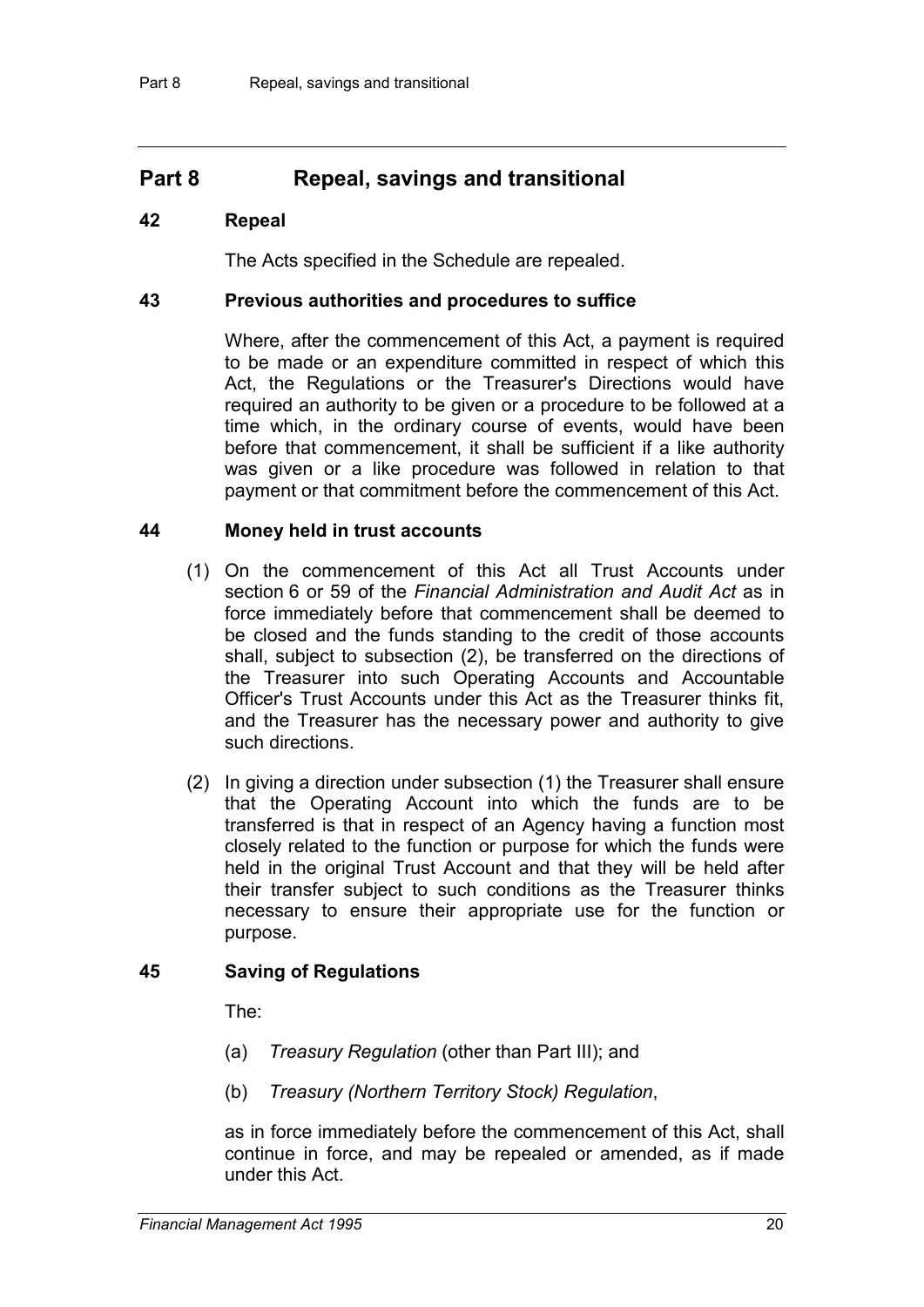## **Part 8 Repeal, savings and transitional**

#### **42 Repeal**

The Acts specified in the Schedule are repealed.

#### **43 Previous authorities and procedures to suffice**

Where, after the commencement of this Act, a payment is required to be made or an expenditure committed in respect of which this Act, the Regulations or the Treasurer's Directions would have required an authority to be given or a procedure to be followed at a time which, in the ordinary course of events, would have been before that commencement, it shall be sufficient if a like authority was given or a like procedure was followed in relation to that payment or that commitment before the commencement of this Act.

### **44 Money held in trust accounts**

- (1) On the commencement of this Act all Trust Accounts under section 6 or 59 of the *Financial Administration and Audit Act* as in force immediately before that commencement shall be deemed to be closed and the funds standing to the credit of those accounts shall, subject to subsection (2), be transferred on the directions of the Treasurer into such Operating Accounts and Accountable Officer's Trust Accounts under this Act as the Treasurer thinks fit, and the Treasurer has the necessary power and authority to give such directions.
- (2) In giving a direction under subsection (1) the Treasurer shall ensure that the Operating Account into which the funds are to be transferred is that in respect of an Agency having a function most closely related to the function or purpose for which the funds were held in the original Trust Account and that they will be held after their transfer subject to such conditions as the Treasurer thinks necessary to ensure their appropriate use for the function or purpose.

### **45 Saving of Regulations**

The:

- (a) *Treasury Regulation* (other than Part III); and
- (b) *Treasury (Northern Territory Stock) Regulation*,

as in force immediately before the commencement of this Act, shall continue in force, and may be repealed or amended, as if made under this Act.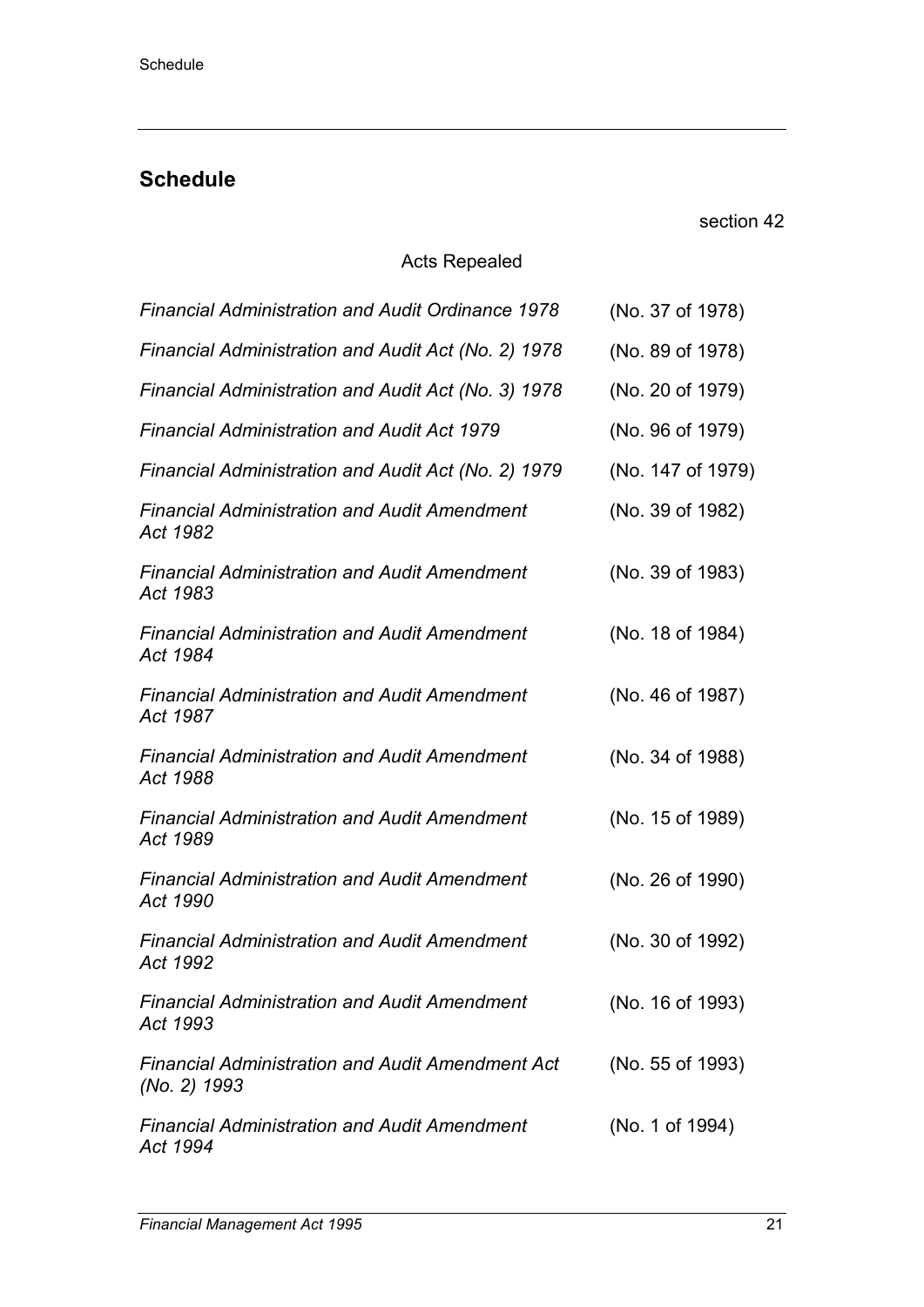# **Schedule**

section 42

## Acts Repealed

| <b>Financial Administration and Audit Ordinance 1978</b>                | (No. 37 of 1978)  |
|-------------------------------------------------------------------------|-------------------|
| Financial Administration and Audit Act (No. 2) 1978                     | (No. 89 of 1978)  |
| Financial Administration and Audit Act (No. 3) 1978                     | (No. 20 of 1979)  |
| <b>Financial Administration and Audit Act 1979</b>                      | (No. 96 of 1979)  |
| Financial Administration and Audit Act (No. 2) 1979                     | (No. 147 of 1979) |
| <b>Financial Administration and Audit Amendment</b><br>Act 1982         | (No. 39 of 1982)  |
| <b>Financial Administration and Audit Amendment</b><br>Act 1983         | (No. 39 of 1983)  |
| <b>Financial Administration and Audit Amendment</b><br>Act 1984         | (No. 18 of 1984)  |
| <b>Financial Administration and Audit Amendment</b><br>Act 1987         | (No. 46 of 1987)  |
| <b>Financial Administration and Audit Amendment</b><br>Act 1988         | (No. 34 of 1988)  |
| <b>Financial Administration and Audit Amendment</b><br>Act 1989         | (No. 15 of 1989)  |
| <b>Financial Administration and Audit Amendment</b><br>Act 1990         | (No. 26 of 1990)  |
| <b>Financial Administration and Audit Amendment</b><br>Act 1992         | (No. 30 of 1992)  |
| <b>Financial Administration and Audit Amendment</b><br>Act 1993         | (No. 16 of 1993)  |
| <b>Financial Administration and Audit Amendment Act</b><br>(No. 2) 1993 | (No. 55 of 1993)  |
| <b>Financial Administration and Audit Amendment</b><br>Act 1994         | (No. 1 of 1994)   |